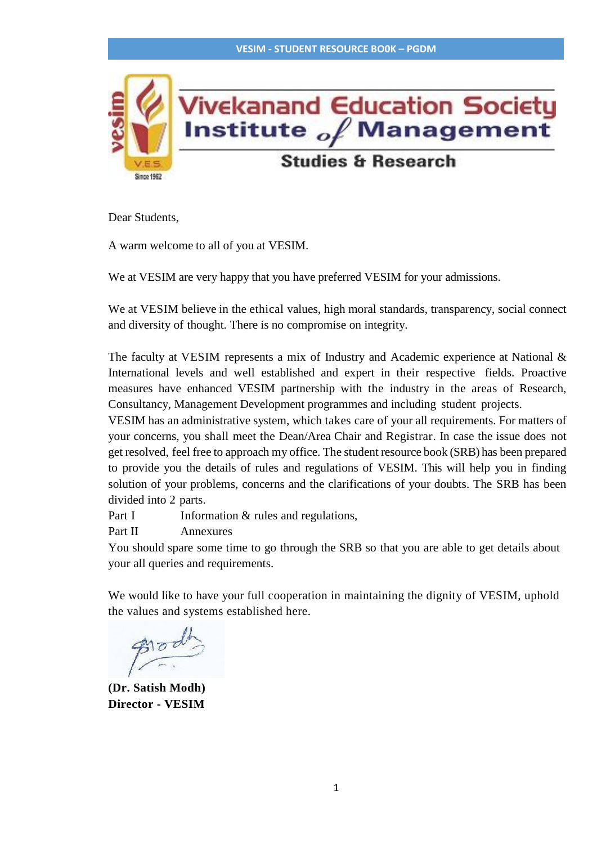

Dear Students,

A warm welcome to all of you at VESIM.

We at VESIM are very happy that you have preferred VESIM for your admissions.

We at VESIM believe in the ethical values, high moral standards, transparency, social connect and diversity of thought. There is no compromise on integrity.

The faculty at VESIM represents a mix of Industry and Academic experience at National & International levels and well established and expert in their respective fields. Proactive measures have enhanced VESIM partnership with the industry in the areas of Research, Consultancy, Management Development programmes and including student projects.

VESIM has an administrative system, which takes care of your all requirements. For matters of your concerns, you shall meet the Dean/Area Chair and Registrar. In case the issue does not get resolved, feel free to approach my office. The student resource book (SRB) has been prepared to provide you the details of rules and regulations of VESIM. This will help you in finding solution of your problems, concerns and the clarifications of your doubts. The SRB has been divided into 2 parts.

Part I Information & rules and regulations,

Part II Annexures

You should spare some time to go through the SRB so that you are able to get details about your all queries and requirements.

We would like to have your full cooperation in maintaining the dignity of VESIM, uphold the values and systems established here.

**(Dr. Satish Modh) Director - VESIM**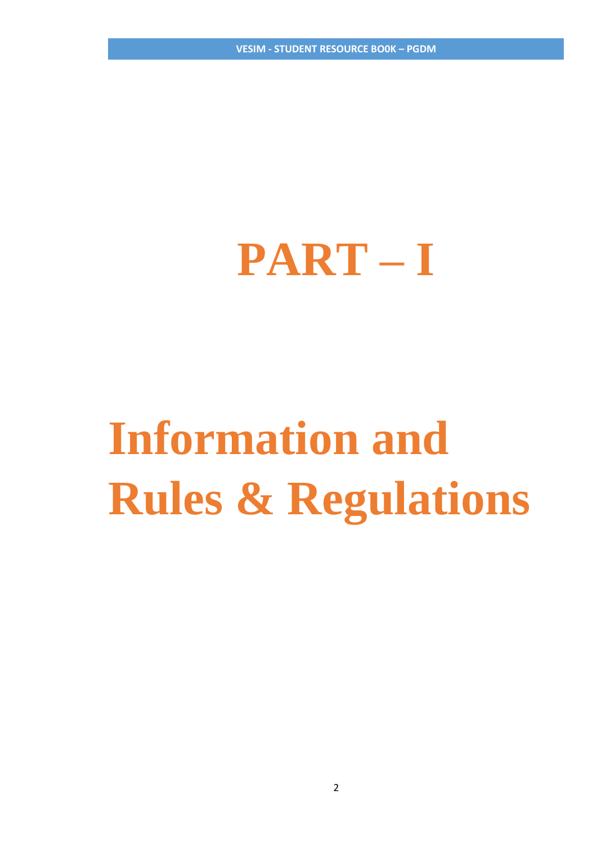**VESIM - STUDENT RESOURCE BO0K – PGDM**

# **PART – I**

# **Information and Rules & Regulations**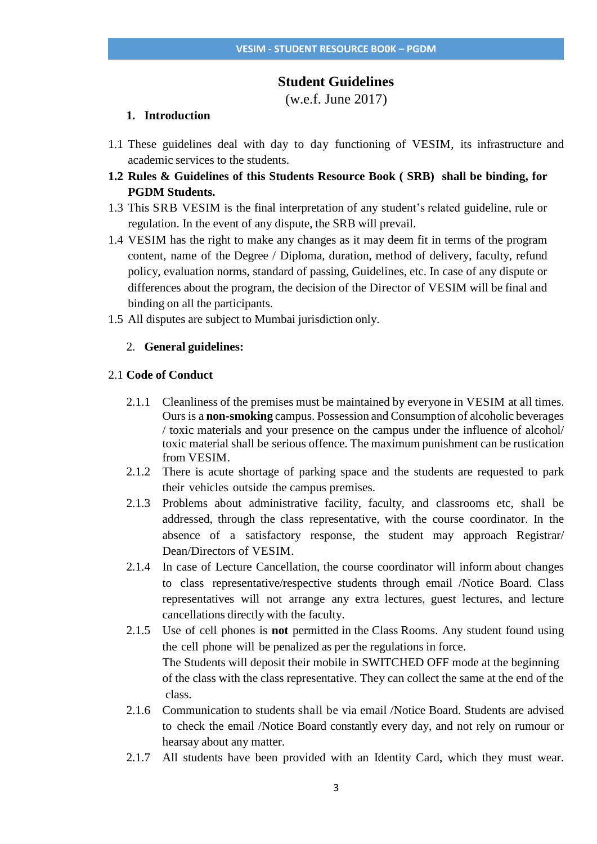## **Student Guidelines**

(w.e.f. June 2017)

## **1. Introduction**

- 1.1 These guidelines deal with day to day functioning of VESIM, its infrastructure and academic services to the students.
- **1.2 Rules & Guidelines of this Students Resource Book ( SRB) shall be binding, for PGDM Students.**
- 1.3 This SRB VESIM is the final interpretation of any student's related guideline, rule or regulation. In the event of any dispute, the SRB will prevail.
- 1.4 VESIM has the right to make any changes as it may deem fit in terms of the program content, name of the Degree / Diploma, duration, method of delivery, faculty, refund policy, evaluation norms, standard of passing, Guidelines, etc. In case of any dispute or differences about the program, the decision of the Director of VESIM will be final and binding on all the participants.
- 1.5 All disputes are subject to Mumbai jurisdiction only.

### 2. **General guidelines:**

#### 2.1 **Code of Conduct**

- 2.1.1 Cleanliness of the premises must be maintained by everyone in VESIM at all times. Ours is a **non-smoking** campus. Possession and Consumption of alcoholic beverages / toxic materials and your presence on the campus under the influence of alcohol/ toxic material shall be serious offence. The maximum punishment can be rustication from VESIM.
- 2.1.2 There is acute shortage of parking space and the students are requested to park their vehicles outside the campus premises.
- 2.1.3 Problems about administrative facility, faculty, and classrooms etc, shall be addressed, through the class representative, with the course coordinator. In the absence of a satisfactory response, the student may approach Registrar/ Dean/Directors of VESIM.
- 2.1.4 In case of Lecture Cancellation, the course coordinator will inform about changes to class representative/respective students through email /Notice Board. Class representatives will not arrange any extra lectures, guest lectures, and lecture cancellations directly with the faculty.
- 2.1.5 Use of cell phones is **not** permitted in the Class Rooms. Any student found using the cell phone will be penalized as per the regulations in force. The Students will deposit their mobile in SWITCHED OFF mode at the beginning of the class with the class representative. They can collect the same at the end of the class.
- 2.1.6 Communication to students shall be via email /Notice Board. Students are advised to check the email /Notice Board constantly every day, and not rely on rumour or hearsay about any matter.
- 2.1.7 All students have been provided with an Identity Card, which they must wear.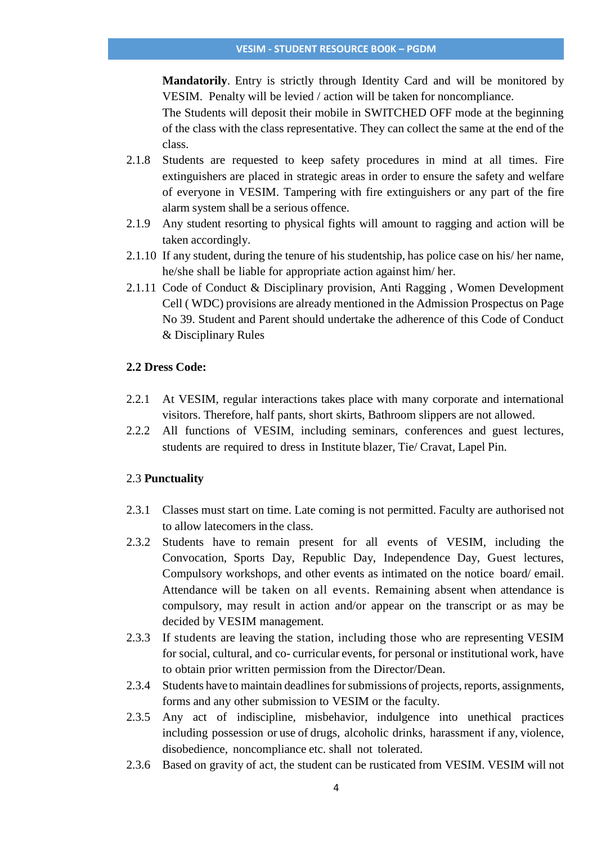**Mandatorily**. Entry is strictly through Identity Card and will be monitored by VESIM. Penalty will be levied / action will be taken for noncompliance.

The Students will deposit their mobile in SWITCHED OFF mode at the beginning of the class with the class representative. They can collect the same at the end of the class.

- 2.1.8 Students are requested to keep safety procedures in mind at all times. Fire extinguishers are placed in strategic areas in order to ensure the safety and welfare of everyone in VESIM. Tampering with fire extinguishers or any part of the fire alarm system shall be a serious offence.
- 2.1.9 Any student resorting to physical fights will amount to ragging and action will be taken accordingly.
- 2.1.10 If any student, during the tenure of his studentship, has police case on his/ her name, he/she shall be liable for appropriate action against him/ her.
- 2.1.11 Code of Conduct & Disciplinary provision, Anti Ragging , Women Development Cell ( WDC) provisions are already mentioned in the Admission Prospectus on Page No 39. Student and Parent should undertake the adherence of this Code of Conduct & Disciplinary Rules

## **2.2 Dress Code:**

- 2.2.1 At VESIM, regular interactions takes place with many corporate and international visitors. Therefore, half pants, short skirts, Bathroom slippers are not allowed.
- 2.2.2 All functions of VESIM, including seminars, conferences and guest lectures, students are required to dress in Institute blazer, Tie/ Cravat, Lapel Pin.

#### 2.3 **Punctuality**

- 2.3.1 Classes must start on time. Late coming is not permitted. Faculty are authorised not to allow latecomers in the class.
- 2.3.2 Students have to remain present for all events of VESIM, including the Convocation, Sports Day, Republic Day, Independence Day, Guest lectures, Compulsory workshops, and other events as intimated on the notice board/ email. Attendance will be taken on all events. Remaining absent when attendance is compulsory, may result in action and/or appear on the transcript or as may be decided by VESIM management.
- 2.3.3 If students are leaving the station, including those who are representing VESIM for social, cultural, and co- curricular events, for personal or institutional work, have to obtain prior written permission from the Director/Dean.
- 2.3.4 Students have to maintain deadlines for submissions of projects, reports, assignments, forms and any other submission to VESIM or the faculty.
- 2.3.5 Any act of indiscipline, misbehavior, indulgence into unethical practices including possession or use of drugs, alcoholic drinks, harassment if any, violence, disobedience, noncompliance etc. shall not tolerated.
- 2.3.6 Based on gravity of act, the student can be rusticated from VESIM. VESIM will not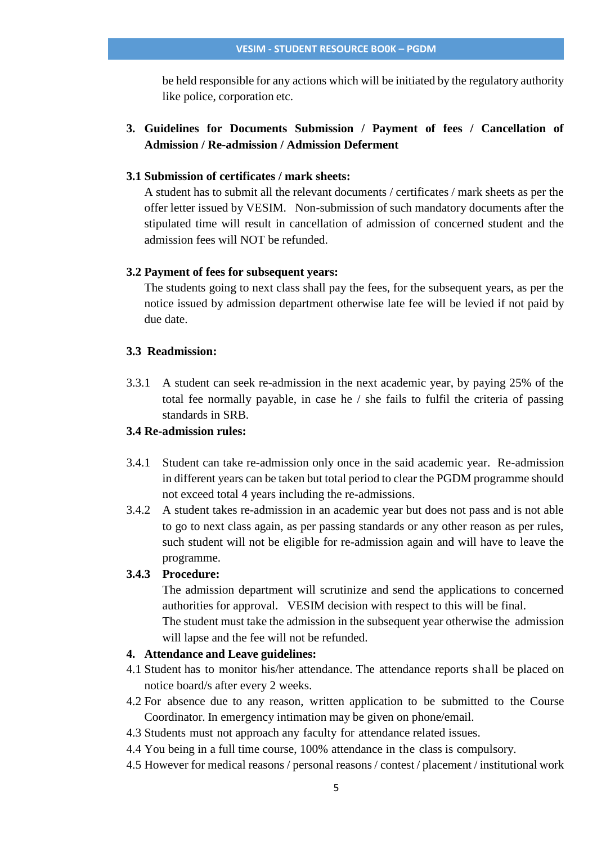be held responsible for any actions which will be initiated by the regulatory authority like police, corporation etc.

## **3. Guidelines for Documents Submission / Payment of fees / Cancellation of Admission / Re-admission / Admission Deferment**

## **3.1 Submission of certificates / mark sheets:**

A student has to submit all the relevant documents / certificates / mark sheets as per the offer letter issued by VESIM. Non-submission of such mandatory documents after the stipulated time will result in cancellation of admission of concerned student and the admission fees will NOT be refunded.

#### **3.2 Payment of fees for subsequent years:**

The students going to next class shall pay the fees, for the subsequent years, as per the notice issued by admission department otherwise late fee will be levied if not paid by due date.

### **3.3 Readmission:**

3.3.1 A student can seek re-admission in the next academic year, by paying 25% of the total fee normally payable, in case he / she fails to fulfil the criteria of passing standards in SRB.

# **3.4 Re-admission rules:**

- 3.4.1 Student can take re-admission only once in the said academic year. Re-admission in different years can be taken but total period to clear the PGDM programme should not exceed total 4 years including the re-admissions.
- 3.4.2 A student takes re-admission in an academic year but does not pass and is not able to go to next class again, as per passing standards or any other reason as per rules, such student will not be eligible for re-admission again and will have to leave the programme.

#### **3.4.3 Procedure:**

The admission department will scrutinize and send the applications to concerned authorities for approval. VESIM decision with respect to this will be final.

The student must take the admission in the subsequent year otherwise the admission will lapse and the fee will not be refunded.

### **4. Attendance and Leave guidelines:**

- 4.1 Student has to monitor his/her attendance. The attendance reports shall be placed on notice board/s after every 2 weeks.
- 4.2 For absence due to any reason, written application to be submitted to the Course Coordinator. In emergency intimation may be given on phone/email.
- 4.3 Students must not approach any faculty for attendance related issues.
- 4.4 You being in a full time course, 100% attendance in the class is compulsory.
- 4.5 However for medical reasons / personal reasons / contest / placement / institutional work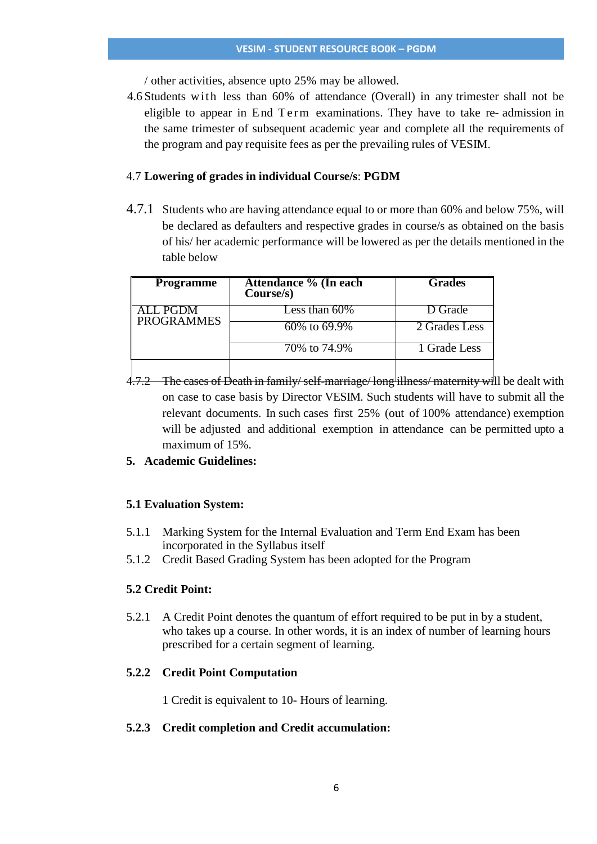/ other activities, absence upto 25% may be allowed.

4.6 Students with less than 60% of attendance (Overall) in any trimester shall not be eligible to appear in End Term examinations. They have to take re-admission in the same trimester of subsequent academic year and complete all the requirements of the program and pay requisite fees as per the prevailing rules of VESIM.

## 4.7 **Lowering of grades in individual Course/s**: **PGDM**

4.7.1 Students who are having attendance equal to or more than 60% and below 75%, will be declared as defaulters and respective grades in course/s as obtained on the basis of his/ her academic performance will be lowered as per the details mentioned in the table below

| <b>Programme</b>  | Attendance % (In each<br>Course/s) | <b>Grades</b> |
|-------------------|------------------------------------|---------------|
| ALL PGDM          | Less than $60\%$                   | D Grade       |
| <b>PROGRAMMES</b> | 60\% to 69.9\%                     | 2 Grades Less |
|                   | 70\% to 74.9\%                     | 1 Grade Less  |
|                   |                                    |               |

4.7.2 The cases of Death in family/self-marriage/long illness/ maternity will be dealt with on case to case basis by Director VESIM. Such students will have to submit all the relevant documents. In such cases first 25% (out of 100% attendance) exemption will be adjusted and additional exemption in attendance can be permitted upto a maximum of 15%.

# **5. Academic Guidelines:**

## **5.1 Evaluation System:**

- 5.1.1 Marking System for the Internal Evaluation and Term End Exam has been incorporated in the Syllabus itself
- 5.1.2 Credit Based Grading System has been adopted for the Program

## **5.2 Credit Point:**

5.2.1 A Credit Point denotes the quantum of effort required to be put in by a student, who takes up a course. In other words, it is an index of number of learning hours prescribed for a certain segment of learning.

## **5.2.2 Credit Point Computation**

1 Credit is equivalent to 10- Hours of learning.

## **5.2.3 Credit completion and Credit accumulation:**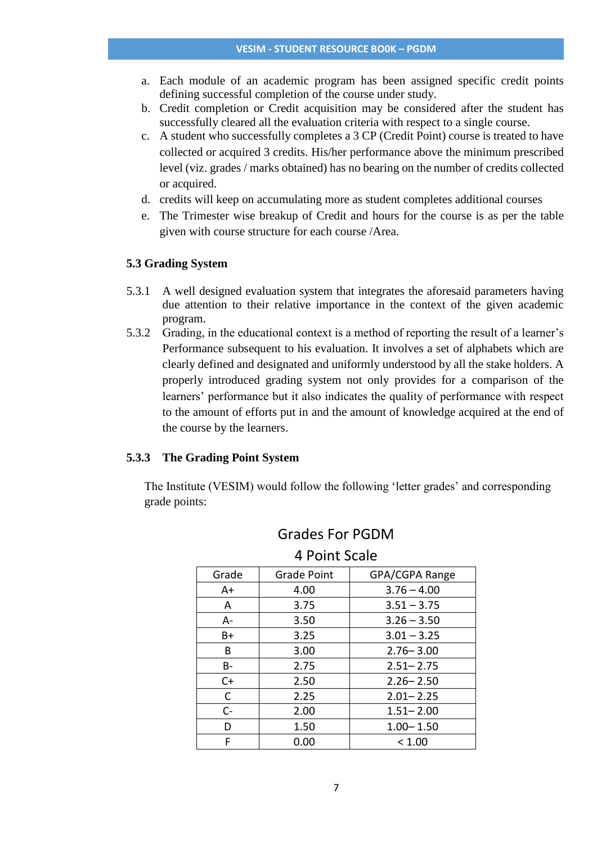- a. Each module of an academic program has been assigned specific credit points defining successful completion of the course under study.
- b. Credit completion or Credit acquisition may be considered after the student has successfully cleared all the evaluation criteria with respect to a single course.
- c. A student who successfully completes a 3 CP (Credit Point) course is treated to have collected or acquired 3 credits. His/her performance above the minimum prescribed level (viz. grades / marks obtained) has no bearing on the number of credits collected or acquired.
- d. credits will keep on accumulating more as student completes additional courses
- e. The Trimester wise breakup of Credit and hours for the course is as per the table given with course structure for each course /Area.

### **5.3 Grading System**

- 5.3.1 A well designed evaluation system that integrates the aforesaid parameters having due attention to their relative importance in the context of the given academic program.
- 5.3.2 Grading, in the educational context is a method of reporting the result of a learner's Performance subsequent to his evaluation. It involves a set of alphabets which are clearly defined and designated and uniformly understood by all the stake holders. A properly introduced grading system not only provides for a comparison of the learners' performance but it also indicates the quality of performance with respect to the amount of efforts put in and the amount of knowledge acquired at the end of the course by the learners.

#### **5.3.3 The Grading Point System**

The Institute (VESIM) would follow the following 'letter grades' and corresponding grade points:

| Grade | <b>Grade Point</b> | GPA/CGPA Range |
|-------|--------------------|----------------|
| A+    | 4.00               | $3.76 - 4.00$  |
| A     | 3.75               | $3.51 - 3.75$  |
| A-    | 3.50               | $3.26 - 3.50$  |
| B+    | 3.25               | $3.01 - 3.25$  |
| B     | 3.00               | $2.76 - 3.00$  |
| B-    | 2.75               | $2.51 - 2.75$  |
| $C+$  | 2.50               | $2.26 - 2.50$  |
| C     | 2.25               | $2.01 - 2.25$  |
| $C-$  | 2.00               | $1.51 - 2.00$  |
| D     | 1.50               | $1.00 - 1.50$  |
| F     | 0.00               | < 1.00         |

# Grades For PGDM 4 Point Scale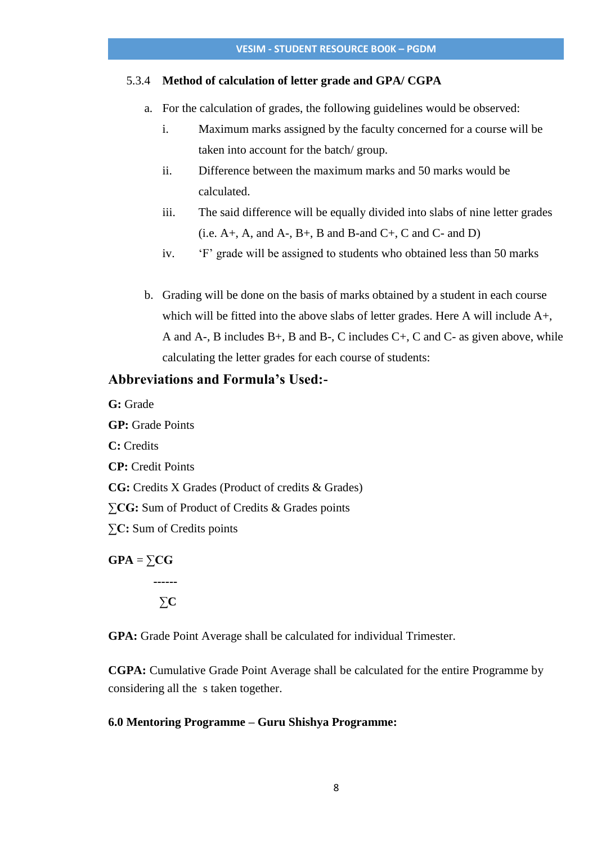## 5.3.4 **Method of calculation of letter grade and GPA/ CGPA**

- a. For the calculation of grades, the following guidelines would be observed:
	- i. Maximum marks assigned by the faculty concerned for a course will be taken into account for the batch/ group.
	- ii. Difference between the maximum marks and 50 marks would be calculated.
	- iii. The said difference will be equally divided into slabs of nine letter grades  $(i.e. A+, A, and A-, B+, B and B- and C+, C and C- and D)$
	- iv. 'F' grade will be assigned to students who obtained less than 50 marks
- b. Grading will be done on the basis of marks obtained by a student in each course which will be fitted into the above slabs of letter grades. Here A will include A+, A and A-, B includes B+, B and B-, C includes C+, C and C- as given above, while calculating the letter grades for each course of students:

# **Abbreviations and Formula's Used:-**

**G:** Grade

**GP:** Grade Points **C:** Credits **CP:** Credit Points **CG:** Credits X Grades (Product of credits & Grades) **∑CG:** Sum of Product of Credits & Grades points **∑C:** Sum of Credits points

 $GPA = \sum CG$ **------** ∑**C**

**GPA:** Grade Point Average shall be calculated for individual Trimester.

**CGPA:** Cumulative Grade Point Average shall be calculated for the entire Programme by considering all the s taken together.

#### **6.0 Mentoring Programme – Guru Shishya Programme:**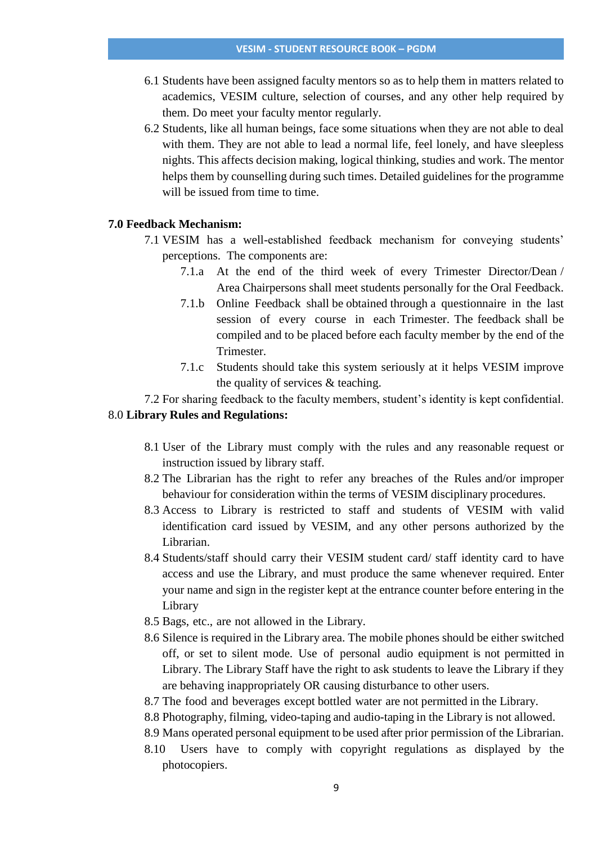- 6.1 Students have been assigned faculty mentors so as to help them in matters related to academics, VESIM culture, selection of courses, and any other help required by them. Do meet your faculty mentor regularly.
- 6.2 Students, like all human beings, face some situations when they are not able to deal with them. They are not able to lead a normal life, feel lonely, and have sleepless nights. This affects decision making, logical thinking, studies and work. The mentor helps them by counselling during such times. Detailed guidelines for the programme will be issued from time to time.

## **7.0 Feedback Mechanism:**

- 7.1 VESIM has a well-established feedback mechanism for conveying students' perceptions. The components are:
	- 7.1.a At the end of the third week of every Trimester Director/Dean / Area Chairpersons shall meet students personally for the Oral Feedback.
	- 7.1.b Online Feedback shall be obtained through a questionnaire in the last session of every course in each Trimester. The feedback shall be compiled and to be placed before each faculty member by the end of the Trimester.
	- 7.1.c Students should take this system seriously at it helps VESIM improve the quality of services & teaching.

7.2 For sharing feedback to the faculty members, student's identity is kept confidential.

## 8.0 **Library Rules and Regulations:**

- 8.1 User of the Library must comply with the rules and any reasonable request or instruction issued by library staff.
- 8.2 The Librarian has the right to refer any breaches of the Rules and/or improper behaviour for consideration within the terms of VESIM disciplinary procedures.
- 8.3 Access to Library is restricted to staff and students of VESIM with valid identification card issued by VESIM, and any other persons authorized by the Librarian.
- 8.4 Students/staff should carry their VESIM student card/ staff identity card to have access and use the Library, and must produce the same whenever required. Enter your name and sign in the register kept at the entrance counter before entering in the Library
- 8.5 Bags, etc., are not allowed in the Library.
- 8.6 Silence is required in the Library area. The mobile phones should be either switched off, or set to silent mode. Use of personal audio equipment is not permitted in Library. The Library Staff have the right to ask students to leave the Library if they are behaving inappropriately OR causing disturbance to other users.
- 8.7 The food and beverages except bottled water are not permitted in the Library.

8.8 Photography, filming, video-taping and audio-taping in the Library is not allowed.

- 8.9 Mans operated personal equipment to be used after prior permission of the Librarian.
- 8.10 Users have to comply with copyright regulations as displayed by the photocopiers.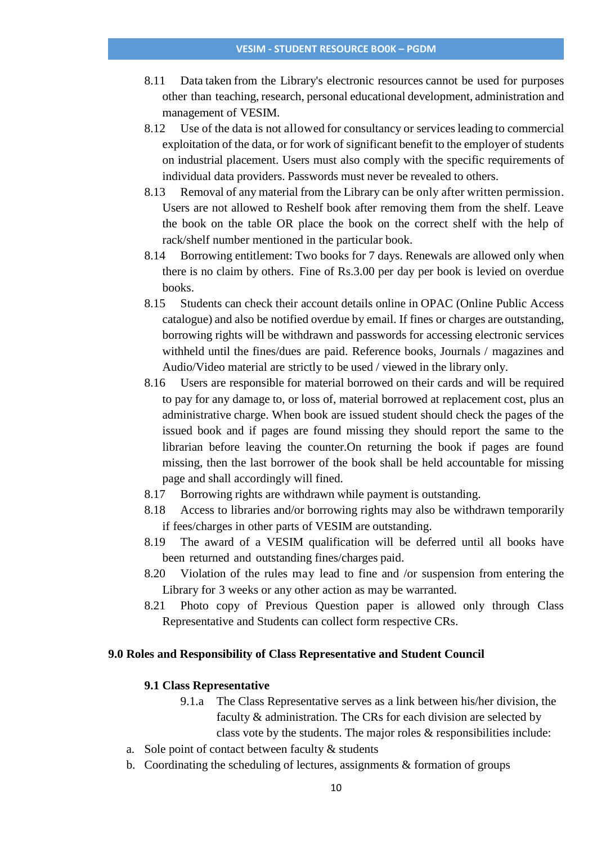- 8.11 Data taken from the Library's electronic resources cannot be used for purposes other than teaching, research, personal educational development, administration and management of VESIM.
- 8.12 Use of the data is not allowed for consultancy or services leading to commercial exploitation of the data, or for work of significant benefit to the employer of students on industrial placement. Users must also comply with the specific requirements of individual data providers. Passwords must never be revealed to others.
- 8.13 Removal of any material from the Library can be only after written permission. Users are not allowed to Reshelf book after removing them from the shelf. Leave the book on the table OR place the book on the correct shelf with the help of rack/shelf number mentioned in the particular book.
- 8.14 Borrowing entitlement: Two books for 7 days. Renewals are allowed only when there is no claim by others. Fine of Rs.3.00 per day per book is levied on overdue books.
- 8.15 Students can check their account details online in OPAC (Online Public Access catalogue) and also be notified overdue by email. If fines or charges are outstanding, borrowing rights will be withdrawn and passwords for accessing electronic services withheld until the fines/dues are paid. Reference books, Journals / magazines and Audio/Video material are strictly to be used / viewed in the library only.
- 8.16 Users are responsible for material borrowed on their cards and will be required to pay for any damage to, or loss of, material borrowed at replacement cost, plus an administrative charge. When book are issued student should check the pages of the issued book and if pages are found missing they should report the same to the librarian before leaving the counter.On returning the book if pages are found missing, then the last borrower of the book shall be held accountable for missing page and shall accordingly will fined.
- 8.17 Borrowing rights are withdrawn while payment is outstanding.
- 8.18 Access to libraries and/or borrowing rights may also be withdrawn temporarily if fees/charges in other parts of VESIM are outstanding.
- 8.19 The award of a VESIM qualification will be deferred until all books have been returned and outstanding fines/charges paid.
- 8.20 Violation of the rules may lead to fine and /or suspension from entering the Library for 3 weeks or any other action as may be warranted.
- 8.21 Photo copy of Previous Question paper is allowed only through Class Representative and Students can collect form respective CRs.

### **9.0 Roles and Responsibility of Class Representative and Student Council**

## **9.1 Class Representative**

- 9.1.a The Class Representative serves as a link between his/her division, the faculty & administration. The CRs for each division are selected by class vote by the students. The major roles & responsibilities include:
- a. Sole point of contact between faculty & students
- b. Coordinating the scheduling of lectures, assignments  $\&$  formation of groups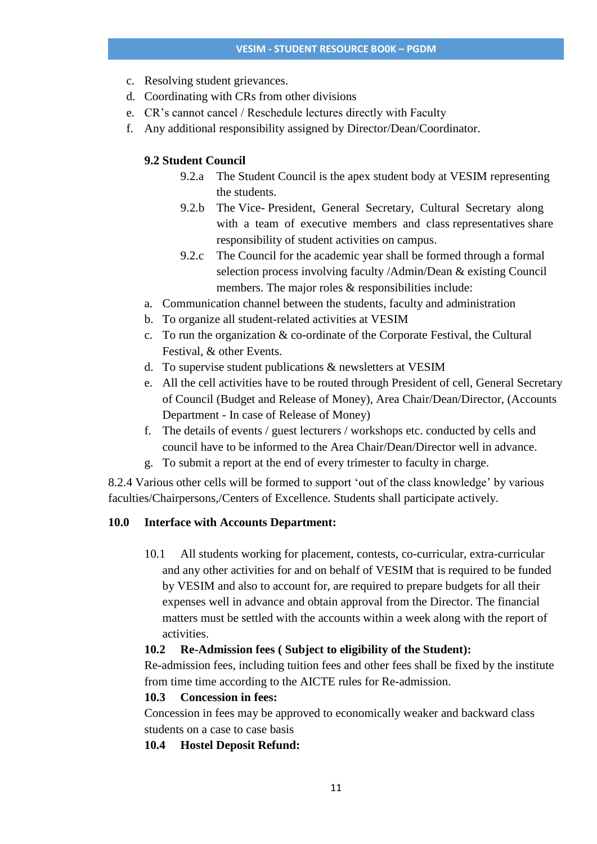- c. Resolving student grievances.
- d. Coordinating with CRs from other divisions
- e. CR's cannot cancel / Reschedule lectures directly with Faculty
- f. Any additional responsibility assigned by Director/Dean/Coordinator.

## **9.2 Student Council**

- 9.2.a The Student Council is the apex student body at VESIM representing the students.
- 9.2.b The Vice- President, General Secretary, Cultural Secretary along with a team of executive members and class representatives share responsibility of student activities on campus.
- 9.2.c The Council for the academic year shall be formed through a formal selection process involving faculty /Admin/Dean & existing Council members. The major roles & responsibilities include:
- a. Communication channel between the students, faculty and administration
- b. To organize all student-related activities at VESIM
- c. To run the organization & co-ordinate of the Corporate Festival, the Cultural Festival, & other Events.
- d. To supervise student publications & newsletters at VESIM
- e. All the cell activities have to be routed through President of cell, General Secretary of Council (Budget and Release of Money), Area Chair/Dean/Director, (Accounts Department - In case of Release of Money)
- f. The details of events / guest lecturers / workshops etc. conducted by cells and council have to be informed to the Area Chair/Dean/Director well in advance.
- g. To submit a report at the end of every trimester to faculty in charge.

8.2.4 Various other cells will be formed to support 'out of the class knowledge' by various faculties/Chairpersons,/Centers of Excellence. Students shall participate actively.

## **10.0 Interface with Accounts Department:**

10.1 All students working for placement, contests, co-curricular, extra-curricular and any other activities for and on behalf of VESIM that is required to be funded by VESIM and also to account for, are required to prepare budgets for all their expenses well in advance and obtain approval from the Director. The financial matters must be settled with the accounts within a week along with the report of activities.

#### **10.2 Re-Admission fees ( Subject to eligibility of the Student):**

Re-admission fees, including tuition fees and other fees shall be fixed by the institute from time time according to the AICTE rules for Re-admission.

## **10.3 Concession in fees:**

Concession in fees may be approved to economically weaker and backward class students on a case to case basis

#### **10.4 Hostel Deposit Refund:**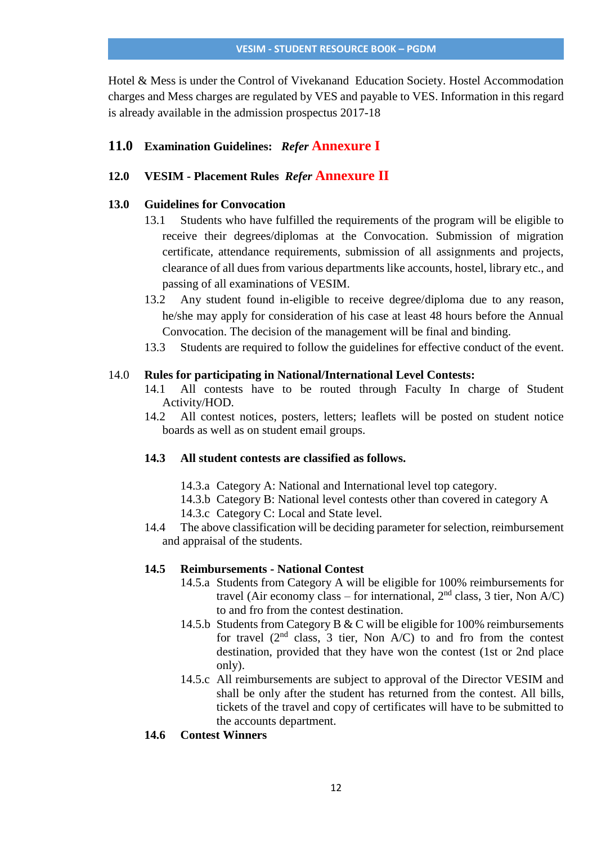Hotel & Mess is under the Control of Vivekanand Education Society. Hostel Accommodation charges and Mess charges are regulated by VES and payable to VES. Information in this regard is already available in the admission prospectus 2017-18

# **11.0 Examination Guidelines:** *Refer* **Annexure I**

# **12.0 VESIM - Placement Rules** *Refer* **Annexure II**

## **13.0 Guidelines for Convocation**

- 13.1 Students who have fulfilled the requirements of the program will be eligible to receive their degrees/diplomas at the Convocation. Submission of migration certificate, attendance requirements, submission of all assignments and projects, clearance of all dues from various departments like accounts, hostel, library etc., and passing of all examinations of VESIM.
- 13.2 Any student found in-eligible to receive degree/diploma due to any reason, he/she may apply for consideration of his case at least 48 hours before the Annual Convocation. The decision of the management will be final and binding.
- 13.3 Students are required to follow the guidelines for effective conduct of the event.

## 14.0 **Rules for participating in National/International Level Contests:**

- 14.1 All contests have to be routed through Faculty In charge of Student Activity/HOD.
- 14.2 All contest notices, posters, letters; leaflets will be posted on student notice boards as well as on student email groups.

# **14.3 All student contests are classified as follows.**

- 14.3.a Category A: National and International level top category.
- 14.3.b Category B: National level contests other than covered in category A
- 14.3.c Category C: Local and State level.
- 14.4 The above classification will be deciding parameter for selection, reimbursement and appraisal of the students.

## **14.5 Reimbursements - National Contest**

- 14.5.a Students from Category A will be eligible for 100% reimbursements for travel (Air economy class – for international,  $2<sup>nd</sup>$  class, 3 tier, Non A/C) to and fro from the contest destination.
- 14.5.b Students from Category B & C will be eligible for 100% reimbursements for travel  $(2<sup>nd</sup>$  class, 3 tier, Non A/C) to and fro from the contest destination, provided that they have won the contest (1st or 2nd place only).
- 14.5.c All reimbursements are subject to approval of the Director VESIM and shall be only after the student has returned from the contest. All bills, tickets of the travel and copy of certificates will have to be submitted to the accounts department.
- **14.6 Contest Winners**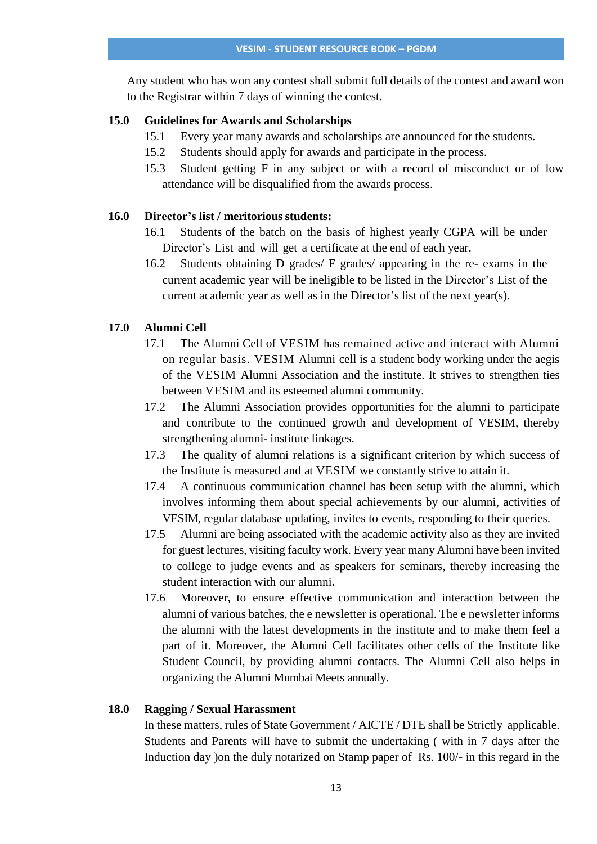Any student who has won any contest shall submit full details of the contest and award won to the Registrar within 7 days of winning the contest.

## **15.0 Guidelines for Awards and Scholarships**

- 15.1 Every year many awards and scholarships are announced for the students.
- 15.2 Students should apply for awards and participate in the process.
- 15.3 Student getting F in any subject or with a record of misconduct or of low attendance will be disqualified from the awards process.

# **16.0 Director's list / meritoriousstudents:**

- 16.1 Students of the batch on the basis of highest yearly CGPA will be under Director's List and will get a certificate at the end of each year.
- 16.2 Students obtaining D grades/ F grades/ appearing in the re- exams in the current academic year will be ineligible to be listed in the Director's List of the current academic year as well as in the Director's list of the next year(s).

## **17.0 Alumni Cell**

- 17.1 The Alumni Cell of VESIM has remained active and interact with Alumni on regular basis. VESIM Alumni cell is a student body working under the aegis of the VESIM Alumni Association and the institute. It strives to strengthen ties between VESIM and its esteemed alumni community.
- 17.2 The Alumni Association provides opportunities for the alumni to participate and contribute to the continued growth and development of VESIM, thereby strengthening alumni- institute linkages.
- 17.3 The quality of alumni relations is a significant criterion by which success of the Institute is measured and at VESIM we constantly strive to attain it.
- 17.4 A continuous communication channel has been setup with the alumni, which involves informing them about special achievements by our alumni, activities of VESIM, regular database updating, invites to events, responding to their queries.
- 17.5 Alumni are being associated with the academic activity also as they are invited for guest lectures, visiting faculty work. Every year many Alumni have been invited to college to judge events and as speakers for seminars, thereby increasing the student interaction with our alumni**.**
- 17.6 Moreover, to ensure effective communication and interaction between the alumni of various batches, the e newsletter is operational. The e newsletter informs the alumni with the latest developments in the institute and to make them feel a part of it. Moreover, the Alumni Cell facilitates other cells of the Institute like Student Council, by providing alumni contacts. The Alumni Cell also helps in organizing the Alumni Mumbai Meets annually.

## **18.0 Ragging / Sexual Harassment**

In these matters, rules of State Government / AICTE / DTE shall be Strictly applicable. Students and Parents will have to submit the undertaking ( with in 7 days after the Induction day )on the duly notarized on Stamp paper of Rs. 100/- in this regard in the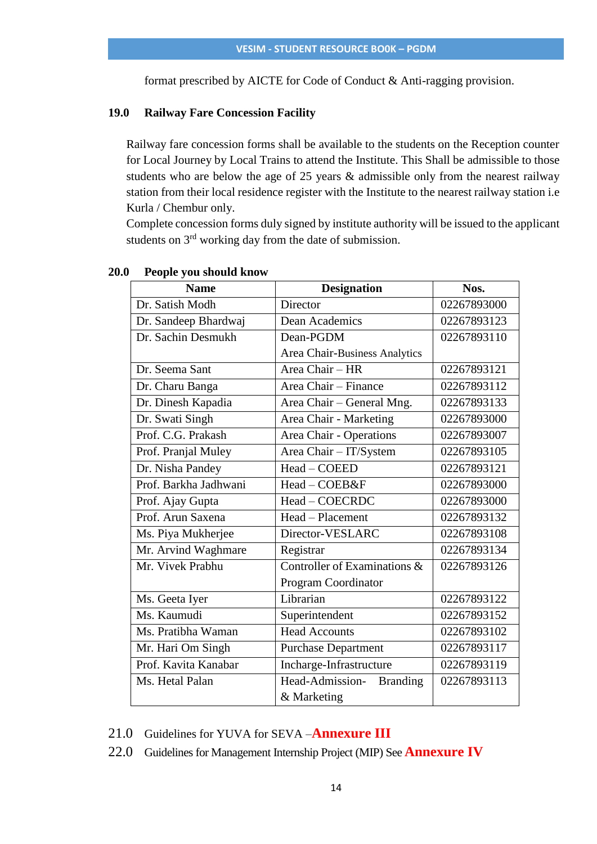format prescribed by AICTE for Code of Conduct & Anti-ragging provision.

### **19.0 Railway Fare Concession Facility**

Railway fare concession forms shall be available to the students on the Reception counter for Local Journey by Local Trains to attend the Institute. This Shall be admissible to those students who are below the age of 25 years & admissible only from the nearest railway station from their local residence register with the Institute to the nearest railway station i.e Kurla / Chembur only.

Complete concession forms duly signed by institute authority will be issued to the applicant students on 3<sup>rd</sup> working day from the date of submission.

| <b>Name</b>           | <b>Designation</b>                 | Nos.        |
|-----------------------|------------------------------------|-------------|
| Dr. Satish Modh       | Director                           | 02267893000 |
| Dr. Sandeep Bhardwaj  | Dean Academics                     | 02267893123 |
| Dr. Sachin Desmukh    | Dean-PGDM                          | 02267893110 |
|                       | Area Chair-Business Analytics      |             |
| Dr. Seema Sant        | Area Chair - HR                    | 02267893121 |
| Dr. Charu Banga       | Area Chair - Finance               | 02267893112 |
| Dr. Dinesh Kapadia    | Area Chair - General Mng.          | 02267893133 |
| Dr. Swati Singh       | Area Chair - Marketing             | 02267893000 |
| Prof. C.G. Prakash    | Area Chair - Operations            | 02267893007 |
| Prof. Pranjal Muley   | Area Chair - IT/System             | 02267893105 |
| Dr. Nisha Pandey      | Head - COEED                       | 02267893121 |
| Prof. Barkha Jadhwani | Head - COEB&F                      | 02267893000 |
| Prof. Ajay Gupta      | Head - COECRDC                     | 02267893000 |
| Prof. Arun Saxena     | Head - Placement                   | 02267893132 |
| Ms. Piya Mukherjee    | Director-VESLARC                   | 02267893108 |
| Mr. Arvind Waghmare   | Registrar                          | 02267893134 |
| Mr. Vivek Prabhu      | Controller of Examinations $\&$    | 02267893126 |
|                       | Program Coordinator                |             |
| Ms. Geeta Iyer        | Librarian                          | 02267893122 |
| Ms. Kaumudi           | Superintendent                     | 02267893152 |
| Ms. Pratibha Waman    | <b>Head Accounts</b>               | 02267893102 |
| Mr. Hari Om Singh     | <b>Purchase Department</b>         | 02267893117 |
| Prof. Kavita Kanabar  | Incharge-Infrastructure            | 02267893119 |
| Ms. Hetal Palan       | Head-Admission-<br><b>Branding</b> | 02267893113 |
|                       | & Marketing                        |             |

#### **20.0 People you should know**

21.0 Guidelines for YUVA for SEVA –**Annexure III**

22.0 Guidelines for Management Internship Project (MIP) See **Annexure IV**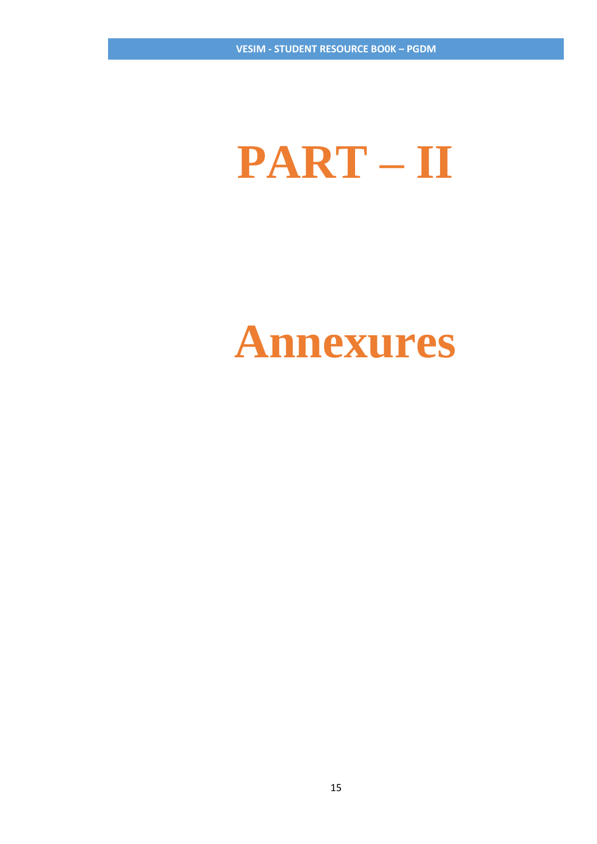# **PART – II**

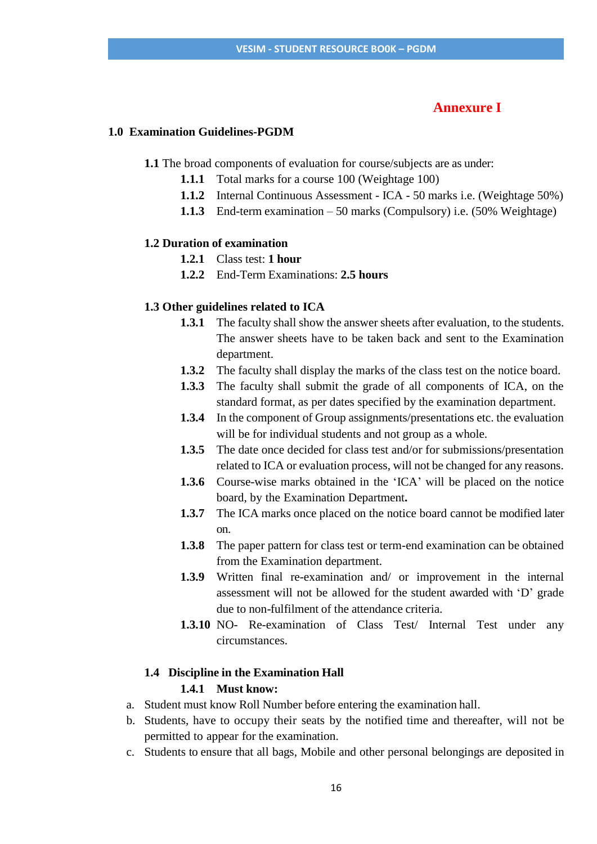## **Annexure I**

### **1.0 Examination Guidelines-PGDM**

**1.1** The broad components of evaluation for course/subjects are as under:

- **1.1.1** Total marks for a course 100 (Weightage 100)
- **1.1.2** Internal Continuous Assessment ICA 50 marks i.e. (Weightage 50%)
- **1.1.3** End-term examination 50 marks (Compulsory) i.e. (50% Weightage)

## **1.2 Duration of examination**

- **1.2.1** Class test: **1 hour**
- **1.2.2** End-Term Examinations: **2.5 hours**

#### **1.3 Other guidelines related to ICA**

- **1.3.1** The faculty shall show the answer sheets after evaluation, to the students. The answer sheets have to be taken back and sent to the Examination department.
- **1.3.2** The faculty shall display the marks of the class test on the notice board.
- **1.3.3** The faculty shall submit the grade of all components of ICA, on the standard format, as per dates specified by the examination department.
- **1.3.4** In the component of Group assignments/presentations etc. the evaluation will be for individual students and not group as a whole.
- **1.3.5** The date once decided for class test and/or for submissions/presentation related to ICA or evaluation process, will not be changed for any reasons.
- **1.3.6** Course-wise marks obtained in the 'ICA' will be placed on the notice board, by the Examination Department**.**
- **1.3.7** The ICA marks once placed on the notice board cannot be modified later on.
- **1.3.8** The paper pattern for class test or term-end examination can be obtained from the Examination department.
- **1.3.9** Written final re-examination and/ or improvement in the internal assessment will not be allowed for the student awarded with 'D' grade due to non-fulfilment of the attendance criteria.
- **1.3.10** NO- Re-examination of Class Test/ Internal Test under any circumstances.

# **1.4 Discipline in the Examination Hall**

## **1.4.1 Must know:**

- a. Student must know Roll Number before entering the examination hall.
- b. Students, have to occupy their seats by the notified time and thereafter, will not be permitted to appear for the examination.
- c. Students to ensure that all bags, Mobile and other personal belongings are deposited in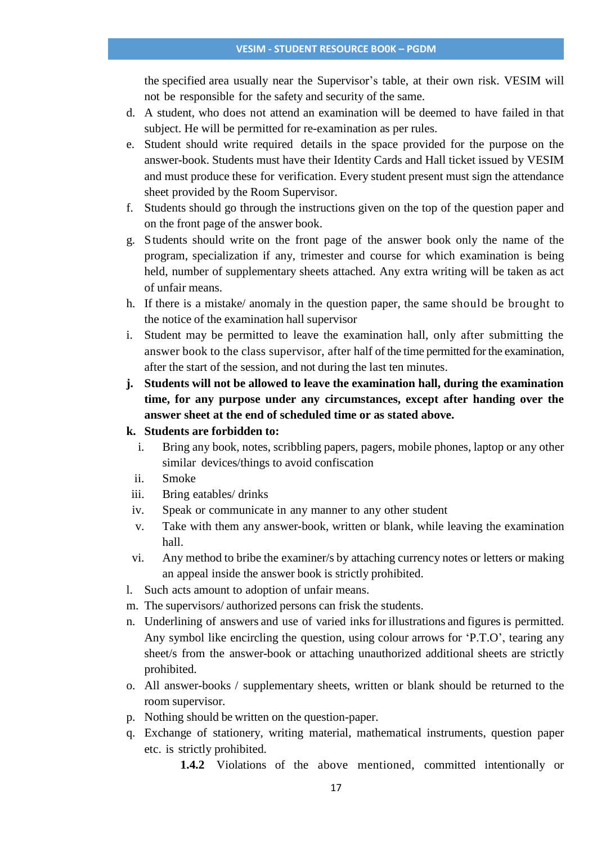the specified area usually near the Supervisor's table, at their own risk. VESIM will not be responsible for the safety and security of the same.

- d. A student, who does not attend an examination will be deemed to have failed in that subject. He will be permitted for re-examination as per rules.
- e. Student should write required details in the space provided for the purpose on the answer-book. Students must have their Identity Cards and Hall ticket issued by VESIM and must produce these for verification. Every student present must sign the attendance sheet provided by the Room Supervisor.
- f. Students should go through the instructions given on the top of the question paper and on the front page of the answer book.
- g. Students should write on the front page of the answer book only the name of the program, specialization if any, trimester and course for which examination is being held, number of supplementary sheets attached. Any extra writing will be taken as act of unfair means.
- h. If there is a mistake/ anomaly in the question paper, the same should be brought to the notice of the examination hall supervisor
- i. Student may be permitted to leave the examination hall, only after submitting the answer book to the class supervisor, after half of the time permitted for the examination, after the start of the session, and not during the last ten minutes.
- **j. Students will not be allowed to leave the examination hall, during the examination time, for any purpose under any circumstances, except after handing over the answer sheet at the end of scheduled time or as stated above.**

## **k. Students are forbidden to:**

- i. Bring any book, notes, scribbling papers, pagers, mobile phones, laptop or any other similar devices/things to avoid confiscation
- ii. Smoke
- iii. Bring eatables/ drinks
- iv. Speak or communicate in any manner to any other student
- v. Take with them any answer-book, written or blank, while leaving the examination hall.
- vi. Any method to bribe the examiner/s by attaching currency notes or letters or making an appeal inside the answer book is strictly prohibited.
- l. Such acts amount to adoption of unfair means.
- m. The supervisors/ authorized persons can frisk the students.
- n. Underlining of answers and use of varied inks for illustrations and figures is permitted. Any symbol like encircling the question, using colour arrows for 'P.T.O', tearing any sheet/s from the answer-book or attaching unauthorized additional sheets are strictly prohibited.
- o. All answer-books / supplementary sheets, written or blank should be returned to the room supervisor.
- p. Nothing should be written on the question-paper.
- q. Exchange of stationery, writing material, mathematical instruments, question paper etc. is strictly prohibited.
	- **1.4.2** Violations of the above mentioned, committed intentionally or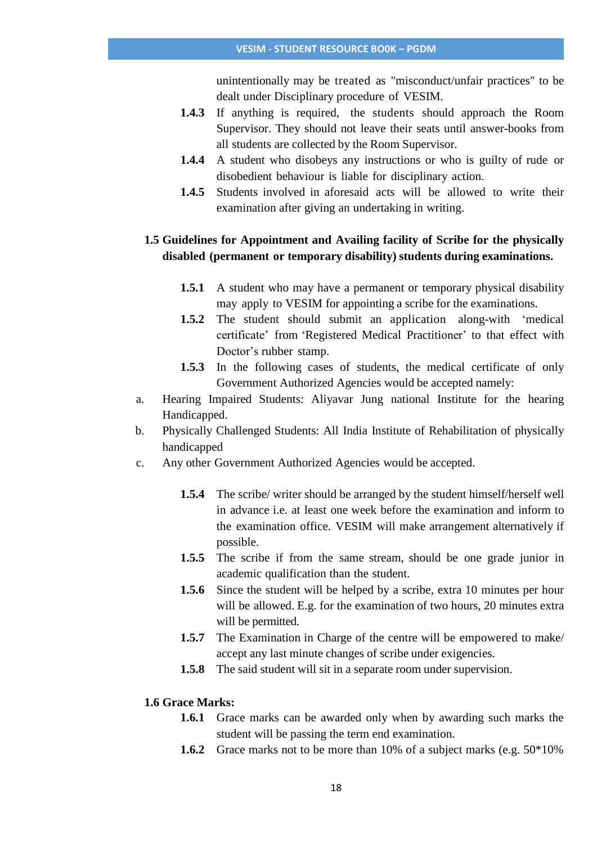unintentionally may be treated as "misconduct/unfair practices" to be dealt under Disciplinary procedure of VESIM.

- **1.4.3** If anything is required, the students should approach the Room Supervisor. They should not leave their seats until answer-books from all students are collected by the Room Supervisor.
- **1.4.4** A student who disobeys any instructions or who is guilty of rude or disobedient behaviour is liable for disciplinary action.
- **1.4.5** Students involved in aforesaid acts will be allowed to write their examination after giving an undertaking in writing.

## **1.5 Guidelines for Appointment and Availing facility of Scribe for the physically disabled (permanent or temporary disability) students during examinations.**

- **1.5.1** A student who may have a permanent or temporary physical disability may apply to VESIM for appointing a scribe for the examinations.
- **1.5.2** The student should submit an application along-with 'medical certificate' from 'Registered Medical Practitioner' to that effect with Doctor's rubber stamp.
- **1.5.3** In the following cases of students, the medical certificate of only Government Authorized Agencies would be accepted namely:
- a. Hearing Impaired Students: Aliyavar Jung national Institute for the hearing Handicapped.
- b. Physically Challenged Students: All India Institute of Rehabilitation of physically handicapped
- c. Any other Government Authorized Agencies would be accepted.
	- **1.5.4** The scribe/ writer should be arranged by the student himself/herself well in advance i.e. at least one week before the examination and inform to the examination office. VESIM will make arrangement alternatively if possible.
	- **1.5.5** The scribe if from the same stream, should be one grade junior in academic qualification than the student.
	- **1.5.6** Since the student will be helped by a scribe, extra 10 minutes per hour will be allowed. E.g. for the examination of two hours, 20 minutes extra will be permitted.
	- **1.5.7** The Examination in Charge of the centre will be empowered to make/ accept any last minute changes of scribe under exigencies.
	- **1.5.8** The said student will sit in a separate room under supervision.

## **1.6 Grace Marks:**

- **1.6.1** Grace marks can be awarded only when by awarding such marks the student will be passing the term end examination.
- **1.6.2** Grace marks not to be more than 10% of a subject marks (e.g. 50\*10%)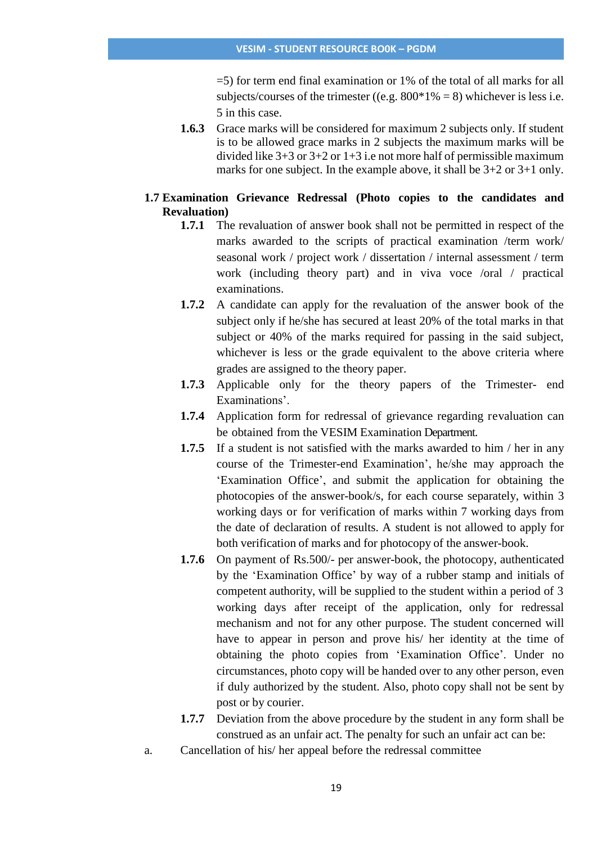=5) for term end final examination or 1% of the total of all marks for all subjects/courses of the trimester ((e.g.  $800*1\% = 8$ ) whichever is less i.e. 5 in this case.

**1.6.3** Grace marks will be considered for maximum 2 subjects only. If student is to be allowed grace marks in 2 subjects the maximum marks will be divided like  $3+3$  or  $3+2$  or  $1+3$  i.e not more half of permissible maximum marks for one subject. In the example above, it shall be 3+2 or 3+1 only.

## **1.7 Examination Grievance Redressal (Photo copies to the candidates and Revaluation)**

- **1.7.1** The revaluation of answer book shall not be permitted in respect of the marks awarded to the scripts of practical examination /term work/ seasonal work / project work / dissertation / internal assessment / term work (including theory part) and in viva voce /oral / practical examinations.
- **1.7.2** A candidate can apply for the revaluation of the answer book of the subject only if he/she has secured at least 20% of the total marks in that subject or 40% of the marks required for passing in the said subject, whichever is less or the grade equivalent to the above criteria where grades are assigned to the theory paper.
- **1.7.3** Applicable only for the theory papers of the Trimester- end Examinations'.
- **1.7.4** Application form for redressal of grievance regarding revaluation can be obtained from the VESIM Examination Department.
- **1.7.5** If a student is not satisfied with the marks awarded to him / her in any course of the Trimester-end Examination', he/she may approach the 'Examination Office', and submit the application for obtaining the photocopies of the answer-book/s, for each course separately, within 3 working days or for verification of marks within 7 working days from the date of declaration of results. A student is not allowed to apply for both verification of marks and for photocopy of the answer-book.
- **1.7.6** On payment of Rs.500/- per answer-book, the photocopy, authenticated by the 'Examination Office' by way of a rubber stamp and initials of competent authority, will be supplied to the student within a period of 3 working days after receipt of the application, only for redressal mechanism and not for any other purpose. The student concerned will have to appear in person and prove his/ her identity at the time of obtaining the photo copies from 'Examination Office'. Under no circumstances, photo copy will be handed over to any other person, even if duly authorized by the student. Also, photo copy shall not be sent by post or by courier.
- **1.7.7** Deviation from the above procedure by the student in any form shall be construed as an unfair act. The penalty for such an unfair act can be:
- a. Cancellation of his/ her appeal before the redressal committee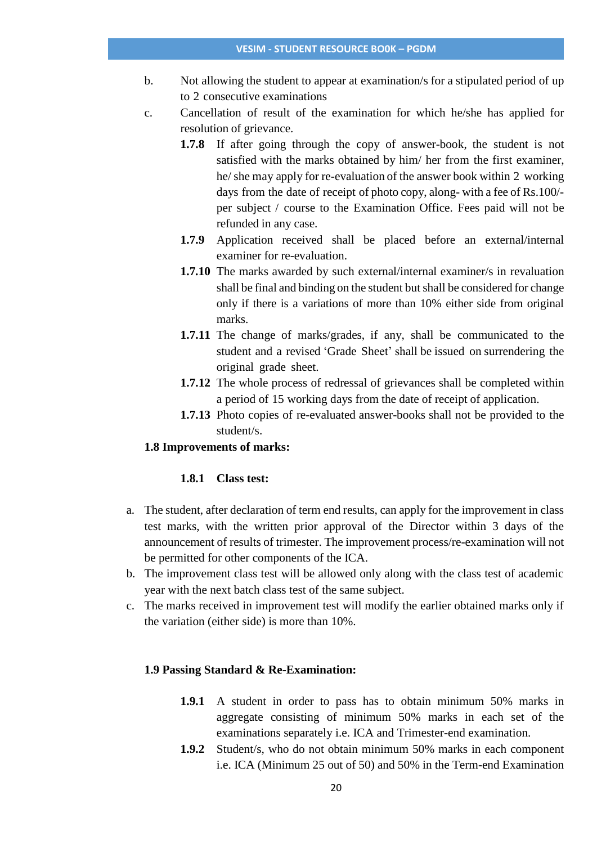#### **VESIM - STUDENT RESOURCE BO0K – PGDM**

- b. Not allowing the student to appear at examination/s for a stipulated period of up to 2 consecutive examinations
- c. Cancellation of result of the examination for which he/she has applied for resolution of grievance.
	- **1.7.8** If after going through the copy of answer-book, the student is not satisfied with the marks obtained by him/ her from the first examiner, he/ she may apply for re-evaluation of the answer book within 2 working days from the date of receipt of photo copy, along- with a fee of Rs.100/ per subject / course to the Examination Office. Fees paid will not be refunded in any case.
	- **1.7.9** Application received shall be placed before an external/internal examiner for re-evaluation.
	- **1.7.10** The marks awarded by such external/internal examiner/s in revaluation shall be final and binding on the student but shall be considered for change only if there is a variations of more than 10% either side from original marks.
	- **1.7.11** The change of marks/grades, if any, shall be communicated to the student and a revised 'Grade Sheet' shall be issued on surrendering the original grade sheet.
	- **1.7.12** The whole process of redressal of grievances shall be completed within a period of 15 working days from the date of receipt of application.
	- **1.7.13** Photo copies of re-evaluated answer-books shall not be provided to the student/s.

## **1.8 Improvements of marks:**

# **1.8.1 Class test:**

- a. The student, after declaration of term end results, can apply for the improvement in class test marks, with the written prior approval of the Director within 3 days of the announcement of results of trimester. The improvement process/re-examination will not be permitted for other components of the ICA.
- b. The improvement class test will be allowed only along with the class test of academic year with the next batch class test of the same subject.
- c. The marks received in improvement test will modify the earlier obtained marks only if the variation (either side) is more than 10%.

## **1.9 Passing Standard & Re-Examination:**

- **1.9.1** A student in order to pass has to obtain minimum 50% marks in aggregate consisting of minimum 50% marks in each set of the examinations separately i.e. ICA and Trimester-end examination.
- **1.9.2** Student/s, who do not obtain minimum 50% marks in each component i.e. ICA (Minimum 25 out of 50) and 50% in the Term-end Examination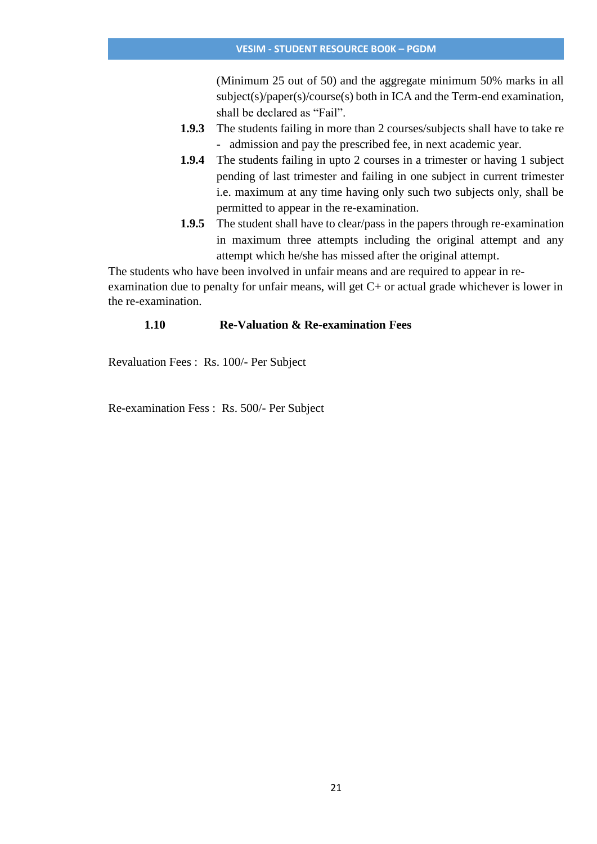(Minimum 25 out of 50) and the aggregate minimum 50% marks in all subject(s)/paper(s)/course(s) both in ICA and the Term-end examination, shall be declared as "Fail".

- **1.9.3** The students failing in more than 2 courses/subjects shall have to take re - admission and pay the prescribed fee, in next academic year.
- **1.9.4** The students failing in upto 2 courses in a trimester or having 1 subject pending of last trimester and failing in one subject in current trimester i.e. maximum at any time having only such two subjects only, shall be permitted to appear in the re-examination.
- **1.9.5** The student shall have to clear/pass in the papers through re-examination in maximum three attempts including the original attempt and any attempt which he/she has missed after the original attempt.

The students who have been involved in unfair means and are required to appear in reexamination due to penalty for unfair means, will get C+ or actual grade whichever is lower in the re-examination.

# **1.10 Re-Valuation & Re-examination Fees**

Revaluation Fees : Rs. 100/- Per Subject

Re-examination Fess : Rs. 500/- Per Subject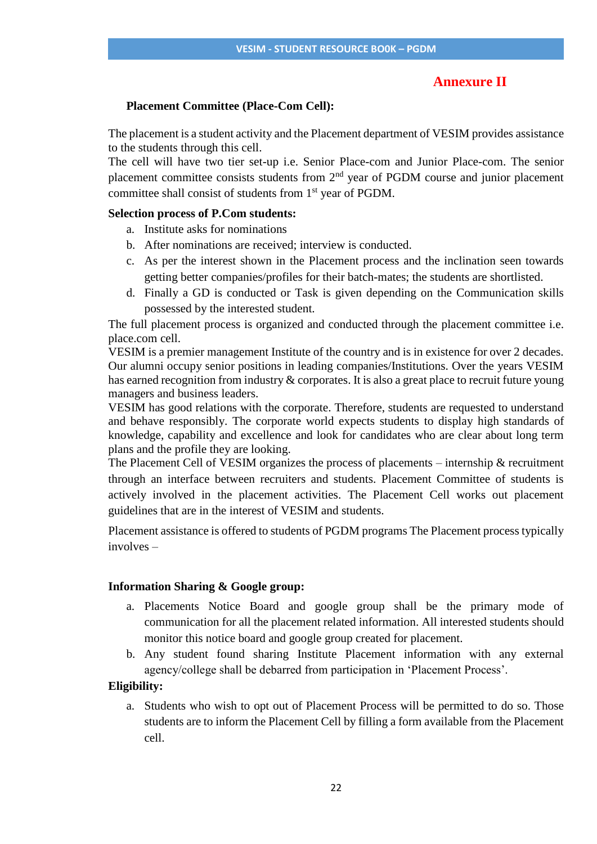# **Annexure II**

### **Placement Committee (Place-Com Cell):**

The placement is a student activity and the Placement department of VESIM provides assistance to the students through this cell.

The cell will have two tier set-up i.e. Senior Place-com and Junior Place-com. The senior placement committee consists students from 2<sup>nd</sup> year of PGDM course and junior placement committee shall consist of students from 1<sup>st</sup> year of PGDM.

## **Selection process of P.Com students:**

- a. Institute asks for nominations
- b. After nominations are received; interview is conducted.
- c. As per the interest shown in the Placement process and the inclination seen towards getting better companies/profiles for their batch-mates; the students are shortlisted.
- d. Finally a GD is conducted or Task is given depending on the Communication skills possessed by the interested student.

The full placement process is organized and conducted through the placement committee i.e. place.com cell.

VESIM is a premier management Institute of the country and is in existence for over 2 decades. Our alumni occupy senior positions in leading companies/Institutions. Over the years VESIM has earned recognition from industry & corporates. It is also a great place to recruit future young managers and business leaders.

VESIM has good relations with the corporate. Therefore, students are requested to understand and behave responsibly. The corporate world expects students to display high standards of knowledge, capability and excellence and look for candidates who are clear about long term plans and the profile they are looking.

The Placement Cell of VESIM organizes the process of placements – internship & recruitment through an interface between recruiters and students. Placement Committee of students is actively involved in the placement activities. The Placement Cell works out placement guidelines that are in the interest of VESIM and students.

Placement assistance is offered to students of PGDM programs The Placement process typically involves –

#### **Information Sharing & Google group:**

- a. Placements Notice Board and google group shall be the primary mode of communication for all the placement related information. All interested students should monitor this notice board and google group created for placement.
- b. Any student found sharing Institute Placement information with any external agency/college shall be debarred from participation in 'Placement Process'.

## **Eligibility:**

a. Students who wish to opt out of Placement Process will be permitted to do so. Those students are to inform the Placement Cell by filling a form available from the Placement cell.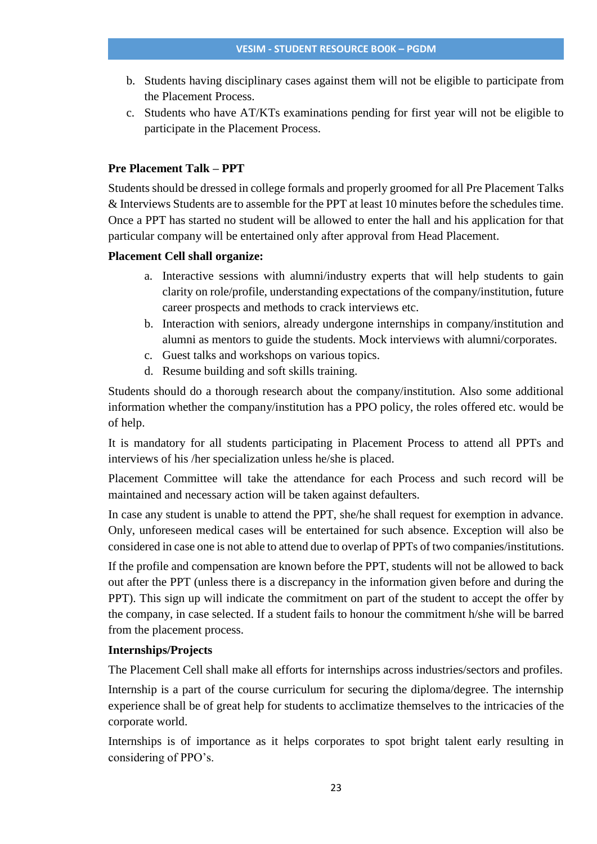- b. Students having disciplinary cases against them will not be eligible to participate from the Placement Process.
- c. Students who have AT/KTs examinations pending for first year will not be eligible to participate in the Placement Process.

## **Pre Placement Talk – PPT**

Students should be dressed in college formals and properly groomed for all Pre Placement Talks & Interviews Students are to assemble for the PPT at least 10 minutes before the schedules time. Once a PPT has started no student will be allowed to enter the hall and his application for that particular company will be entertained only after approval from Head Placement.

## **Placement Cell shall organize:**

- a. Interactive sessions with alumni/industry experts that will help students to gain clarity on role/profile, understanding expectations of the company/institution, future career prospects and methods to crack interviews etc.
- b. Interaction with seniors, already undergone internships in company/institution and alumni as mentors to guide the students. Mock interviews with alumni/corporates.
- c. Guest talks and workshops on various topics.
- d. Resume building and soft skills training.

Students should do a thorough research about the company/institution. Also some additional information whether the company/institution has a PPO policy, the roles offered etc. would be of help.

It is mandatory for all students participating in Placement Process to attend all PPTs and interviews of his /her specialization unless he/she is placed.

Placement Committee will take the attendance for each Process and such record will be maintained and necessary action will be taken against defaulters.

In case any student is unable to attend the PPT, she/he shall request for exemption in advance. Only, unforeseen medical cases will be entertained for such absence. Exception will also be considered in case one is not able to attend due to overlap of PPTs of two companies/institutions.

If the profile and compensation are known before the PPT, students will not be allowed to back out after the PPT (unless there is a discrepancy in the information given before and during the PPT). This sign up will indicate the commitment on part of the student to accept the offer by the company, in case selected. If a student fails to honour the commitment h/she will be barred from the placement process.

## **Internships/Projects**

The Placement Cell shall make all efforts for internships across industries/sectors and profiles.

Internship is a part of the course curriculum for securing the diploma/degree. The internship experience shall be of great help for students to acclimatize themselves to the intricacies of the corporate world.

Internships is of importance as it helps corporates to spot bright talent early resulting in considering of PPO's.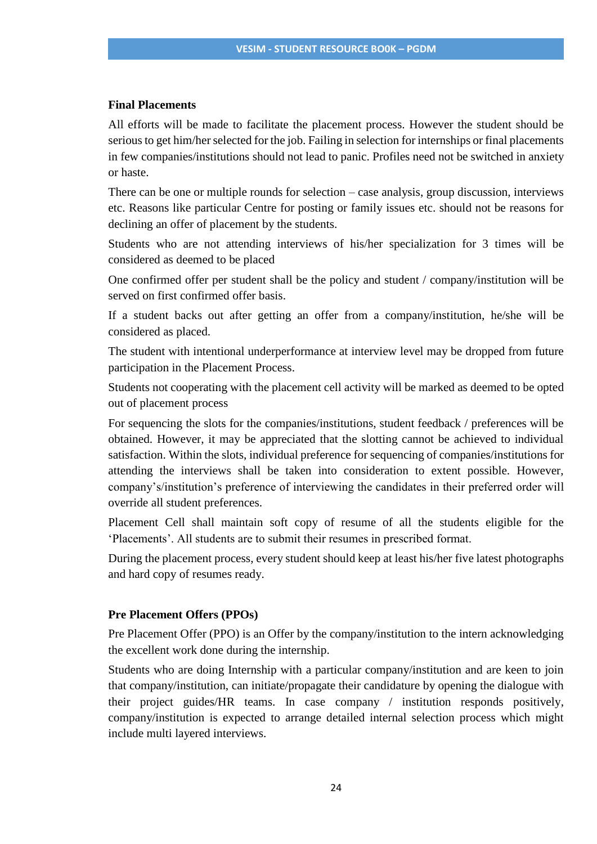## **Final Placements**

All efforts will be made to facilitate the placement process. However the student should be serious to get him/her selected for the job. Failing in selection for internships or final placements in few companies/institutions should not lead to panic. Profiles need not be switched in anxiety or haste.

There can be one or multiple rounds for selection – case analysis, group discussion, interviews etc. Reasons like particular Centre for posting or family issues etc. should not be reasons for declining an offer of placement by the students.

Students who are not attending interviews of his/her specialization for 3 times will be considered as deemed to be placed

One confirmed offer per student shall be the policy and student / company/institution will be served on first confirmed offer basis.

If a student backs out after getting an offer from a company/institution, he/she will be considered as placed.

The student with intentional underperformance at interview level may be dropped from future participation in the Placement Process.

Students not cooperating with the placement cell activity will be marked as deemed to be opted out of placement process

For sequencing the slots for the companies/institutions, student feedback / preferences will be obtained. However, it may be appreciated that the slotting cannot be achieved to individual satisfaction. Within the slots, individual preference for sequencing of companies/institutions for attending the interviews shall be taken into consideration to extent possible. However, company's/institution's preference of interviewing the candidates in their preferred order will override all student preferences.

Placement Cell shall maintain soft copy of resume of all the students eligible for the 'Placements'. All students are to submit their resumes in prescribed format.

During the placement process, every student should keep at least his/her five latest photographs and hard copy of resumes ready.

## **Pre Placement Offers (PPOs)**

Pre Placement Offer (PPO) is an Offer by the company/institution to the intern acknowledging the excellent work done during the internship.

Students who are doing Internship with a particular company/institution and are keen to join that company/institution, can initiate/propagate their candidature by opening the dialogue with their project guides/HR teams. In case company / institution responds positively, company/institution is expected to arrange detailed internal selection process which might include multi layered interviews.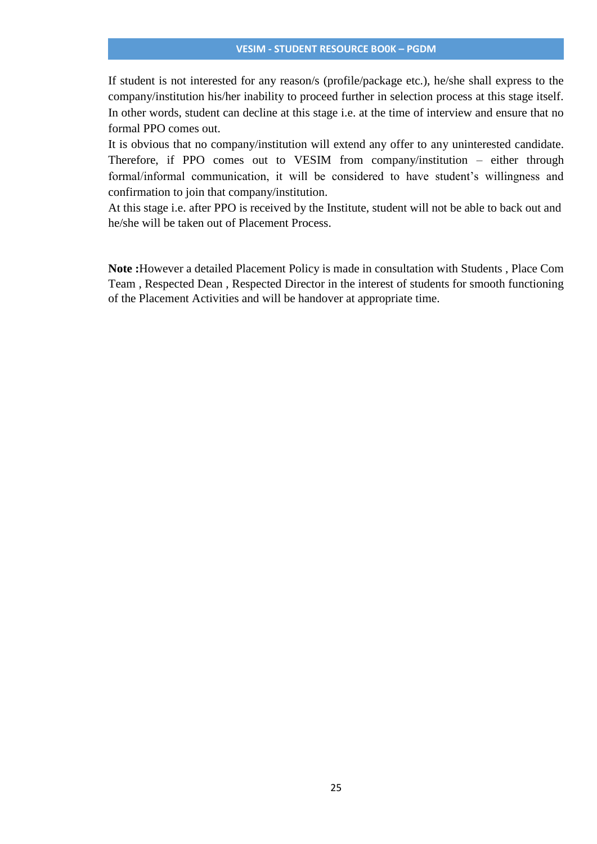#### **VESIM - STUDENT RESOURCE BO0K – PGDM**

If student is not interested for any reason/s (profile/package etc.), he/she shall express to the company/institution his/her inability to proceed further in selection process at this stage itself. In other words, student can decline at this stage i.e. at the time of interview and ensure that no formal PPO comes out.

It is obvious that no company/institution will extend any offer to any uninterested candidate. Therefore, if PPO comes out to VESIM from company/institution – either through formal/informal communication, it will be considered to have student's willingness and confirmation to join that company/institution.

At this stage i.e. after PPO is received by the Institute, student will not be able to back out and he/she will be taken out of Placement Process.

**Note :**However a detailed Placement Policy is made in consultation with Students , Place Com Team , Respected Dean , Respected Director in the interest of students for smooth functioning of the Placement Activities and will be handover at appropriate time.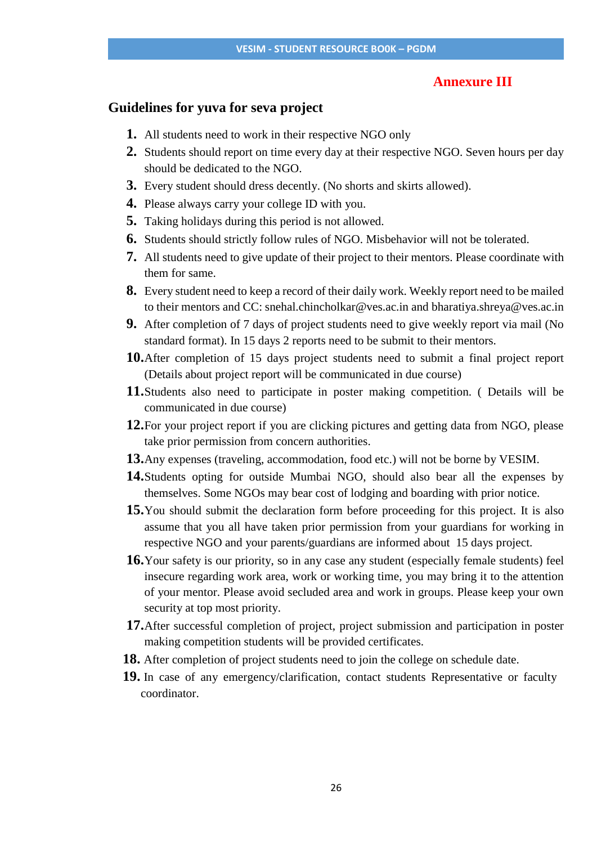## **Annexure III**

# **Guidelines for yuva for seva project**

- **1.** All students need to work in their respective NGO only
- **2.** Students should report on time every day at their respective NGO. Seven hours per day should be dedicated to the NGO.
- **3.** Every student should dress decently. (No shorts and skirts allowed).
- **4.** Please always carry your college ID with you.
- **5.** Taking holidays during this period is not allowed.
- **6.** Students should strictly follow rules of NGO. Misbehavior will not be tolerated.
- **7.** All students need to give update of their project to their mentors. Please coordinate with them for same.
- **8.** Every student need to keep a record of their daily work. Weekly report need to be mailed to their mentors and CC: snehal.chincholkar@ves.ac.in and bharatiya.shreya@ves.ac.in
- **9.** After completion of 7 days of project students need to give weekly report via mail (No standard format). In 15 days 2 reports need to be submit to their mentors.
- **10.**After completion of 15 days project students need to submit a final project report (Details about project report will be communicated in due course)
- **11.**Students also need to participate in poster making competition. ( Details will be communicated in due course)
- **12.**For your project report if you are clicking pictures and getting data from NGO, please take prior permission from concern authorities.
- **13.**Any expenses (traveling, accommodation, food etc.) will not be borne by VESIM.
- **14.**Students opting for outside Mumbai NGO, should also bear all the expenses by themselves. Some NGOs may bear cost of lodging and boarding with prior notice.
- **15.**You should submit the declaration form before proceeding for this project. It is also assume that you all have taken prior permission from your guardians for working in respective NGO and your parents/guardians are informed about 15 days project.
- **16.**Your safety is our priority, so in any case any student (especially female students) feel insecure regarding work area, work or working time, you may bring it to the attention of your mentor. Please avoid secluded area and work in groups. Please keep your own security at top most priority.
- **17.**After successful completion of project, project submission and participation in poster making competition students will be provided certificates.
- **18.** After completion of project students need to join the college on schedule date.
- **19.** In case of any emergency/clarification, contact students Representative or faculty coordinator.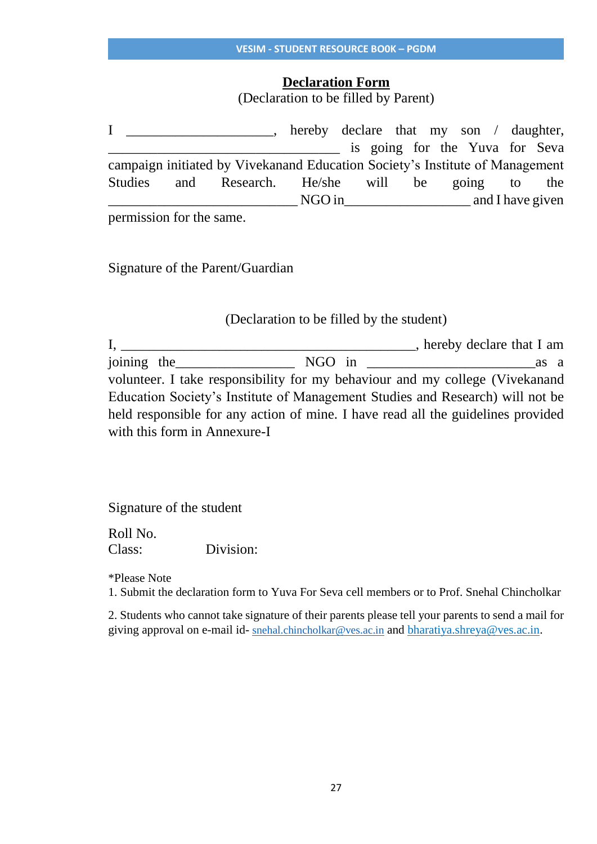# **Declaration Form**

(Declaration to be filled by Parent)

I hereby declare that my son / daughter, is going for the Yuva for Seva campaign initiated by Vivekanand Education Society's Institute of Management Studies and Research. He/she will be going to the \_\_\_\_\_\_\_\_\_\_\_\_\_\_\_\_\_\_\_\_\_\_\_\_\_\_\_ NGO in\_\_\_\_\_\_\_\_\_\_\_\_\_\_\_\_\_\_ and I have given

permission for the same.

Signature of the Parent/Guardian

# (Declaration to be filled by the student)

|                              |  | $\Box$ , hereby declare that I am                                                |
|------------------------------|--|----------------------------------------------------------------------------------|
|                              |  | as a                                                                             |
|                              |  | volunteer. I take responsibility for my behaviour and my college (Vivekanand     |
|                              |  | Education Society's Institute of Management Studies and Research) will not be    |
|                              |  | held responsible for any action of mine. I have read all the guidelines provided |
| with this form in Annexure-I |  |                                                                                  |

Signature of the student

Roll No. Class: Division:

\*Please Note

1. Submit the declaration form to Yuva For Seva cell members or to Prof. Snehal Chincholkar

2. Students who cannot take signature of their parents please tell your parents to send a mail for giving approval on e-mail id- [snehal.chincholkar@ves.ac.in](mailto:snehal.chincholkar@ves.ac.in) and bharatiya.shreya@ves.ac.in.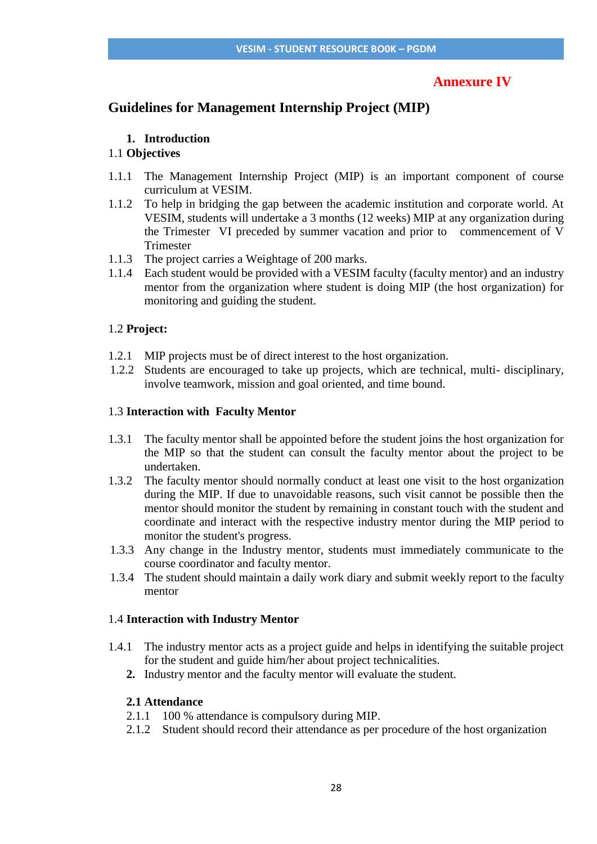# **Annexure IV**

# **Guidelines for Management Internship Project (MIP)**

## **1. Introduction**

## 1.1 **Objectives**

- 1.1.1 The Management Internship Project (MIP) is an important component of course curriculum at VESIM.
- 1.1.2 To help in bridging the gap between the academic institution and corporate world. At VESIM, students will undertake a 3 months (12 weeks) MIP at any organization during the Trimester VI preceded by summer vacation and prior to commencement of V Trimester
- 1.1.3 The project carries a Weightage of 200 marks.
- 1.1.4 Each student would be provided with a VESIM faculty (faculty mentor) and an industry mentor from the organization where student is doing MIP (the host organization) for monitoring and guiding the student.

## 1.2 **Project:**

- 1.2.1 MIP projects must be of direct interest to the host organization.
- 1.2.2 Students are encouraged to take up projects, which are technical, multi- disciplinary, involve teamwork, mission and goal oriented, and time bound.

## 1.3 **Interaction with Faculty Mentor**

- 1.3.1 The faculty mentor shall be appointed before the student joins the host organization for the MIP so that the student can consult the faculty mentor about the project to be undertaken.
- 1.3.2 The faculty mentor should normally conduct at least one visit to the host organization during the MIP. If due to unavoidable reasons, such visit cannot be possible then the mentor should monitor the student by remaining in constant touch with the student and coordinate and interact with the respective industry mentor during the MIP period to monitor the student's progress.
- 1.3.3 Any change in the Industry mentor, students must immediately communicate to the course coordinator and faculty mentor.
- 1.3.4 The student should maintain a daily work diary and submit weekly report to the faculty mentor

## 1.4 **Interaction with Industry Mentor**

- 1.4.1 The industry mentor acts as a project guide and helps in identifying the suitable project for the student and guide him/her about project technicalities.
	- **2.** Industry mentor and the faculty mentor will evaluate the student.

## **2.1 Attendance**

- 2.1.1 100 % attendance is compulsory during MIP.
- 2.1.2 Student should record their attendance as per procedure of the host organization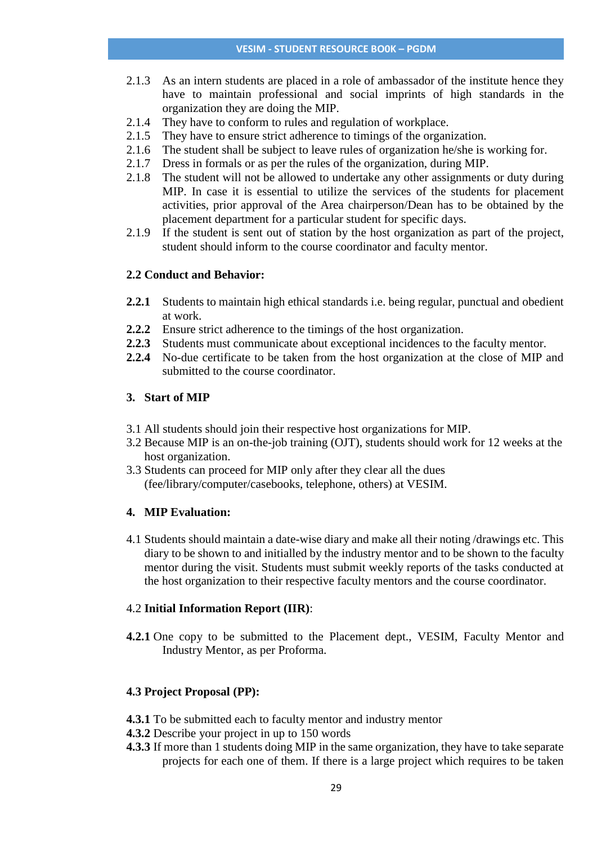- 2.1.3 As an intern students are placed in a role of ambassador of the institute hence they have to maintain professional and social imprints of high standards in the organization they are doing the MIP.
- 2.1.4 They have to conform to rules and regulation of workplace.
- 2.1.5 They have to ensure strict adherence to timings of the organization.
- 2.1.6 The student shall be subject to leave rules of organization he/she is working for.
- 2.1.7 Dress in formals or as per the rules of the organization, during MIP.
- 2.1.8 The student will not be allowed to undertake any other assignments or duty during MIP. In case it is essential to utilize the services of the students for placement activities, prior approval of the Area chairperson/Dean has to be obtained by the placement department for a particular student for specific days.
- 2.1.9 If the student is sent out of station by the host organization as part of the project, student should inform to the course coordinator and faculty mentor.

## **2.2 Conduct and Behavior:**

- **2.2.1** Students to maintain high ethical standards i.e. being regular, punctual and obedient at work.
- **2.2.2** Ensure strict adherence to the timings of the host organization.
- **2.2.3** Students must communicate about exceptional incidences to the faculty mentor.
- **2.2.4** No-due certificate to be taken from the host organization at the close of MIP and submitted to the course coordinator.

### **3. Start of MIP**

- 3.1 All students should join their respective host organizations for MIP.
- 3.2 Because MIP is an on-the-job training (OJT), students should work for 12 weeks at the host organization.
- 3.3 Students can proceed for MIP only after they clear all the dues (fee/library/computer/casebooks, telephone, others) at VESIM.

## **4. MIP Evaluation:**

4.1 Students should maintain a date-wise diary and make all their noting /drawings etc. This diary to be shown to and initialled by the industry mentor and to be shown to the faculty mentor during the visit. Students must submit weekly reports of the tasks conducted at the host organization to their respective faculty mentors and the course coordinator.

#### 4.2 **Initial Information Report (IIR)**:

**4.2.1** One copy to be submitted to the Placement dept., VESIM, Faculty Mentor and Industry Mentor, as per Proforma.

#### **4.3 Project Proposal (PP):**

- **4.3.1** To be submitted each to faculty mentor and industry mentor
- **4.3.2** Describe your project in up to 150 words
- **4.3.3** If more than 1 students doing MIP in the same organization, they have to take separate projects for each one of them. If there is a large project which requires to be taken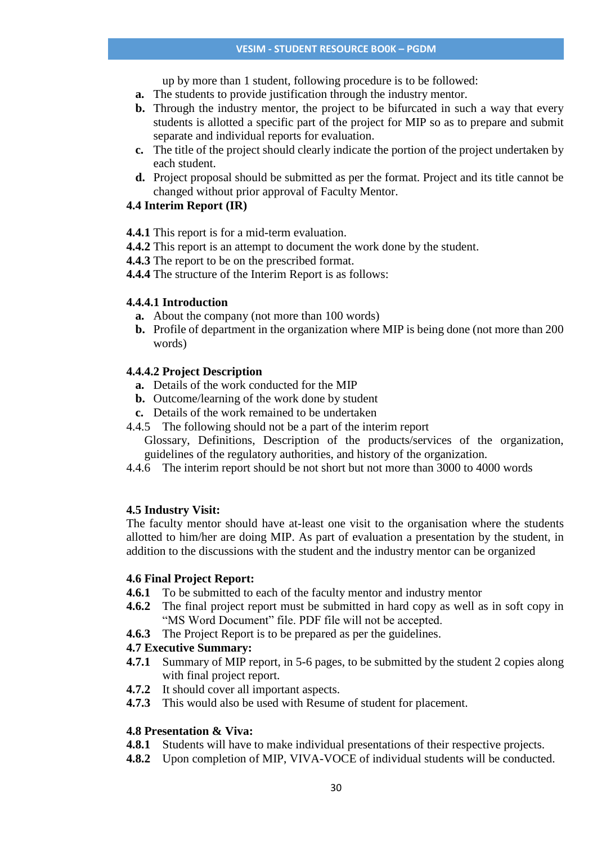up by more than 1 student, following procedure is to be followed:

- **a.** The students to provide justification through the industry mentor.
- **b.** Through the industry mentor, the project to be bifurcated in such a way that every students is allotted a specific part of the project for MIP so as to prepare and submit separate and individual reports for evaluation.
- **c.** The title of the project should clearly indicate the portion of the project undertaken by each student.
- **d.** Project proposal should be submitted as per the format. Project and its title cannot be changed without prior approval of Faculty Mentor.

# **4.4 Interim Report (IR)**

- **4.4.1** This report is for a mid-term evaluation.
- **4.4.2** This report is an attempt to document the work done by the student.
- **4.4.3** The report to be on the prescribed format.
- **4.4.4** The structure of the Interim Report is as follows:

# **4.4.4.1 Introduction**

- **a.** About the company (not more than 100 words)
- **b.** Profile of department in the organization where MIP is being done (not more than 200 words)

# **4.4.4.2 Project Description**

- **a.** Details of the work conducted for the MIP
- **b.** Outcome/learning of the work done by student
- **c.** Details of the work remained to be undertaken
- 4.4.5 The following should not be a part of the interim report
	- Glossary, Definitions, Description of the products/services of the organization, guidelines of the regulatory authorities, and history of the organization.
- 4.4.6 The interim report should be not short but not more than 3000 to 4000 words

# **4.5 Industry Visit:**

The faculty mentor should have at-least one visit to the organisation where the students allotted to him/her are doing MIP. As part of evaluation a presentation by the student, in addition to the discussions with the student and the industry mentor can be organized

# **4.6 Final Project Report:**

- **4.6.1** To be submitted to each of the faculty mentor and industry mentor
- **4.6.2** The final project report must be submitted in hard copy as well as in soft copy in "MS Word Document" file. PDF file will not be accepted.
- **4.6.3** The Project Report is to be prepared as per the guidelines.

# **4.7 Executive Summary:**

- **4.7.1** Summary of MIP report, in 5-6 pages, to be submitted by the student 2 copies along with final project report.
- **4.7.2** It should cover all important aspects.
- **4.7.3** This would also be used with Resume of student for placement.

# **4.8 Presentation & Viva:**

- **4.8.1** Students will have to make individual presentations of their respective projects.
- **4.8.2** Upon completion of MIP, VIVA-VOCE of individual students will be conducted.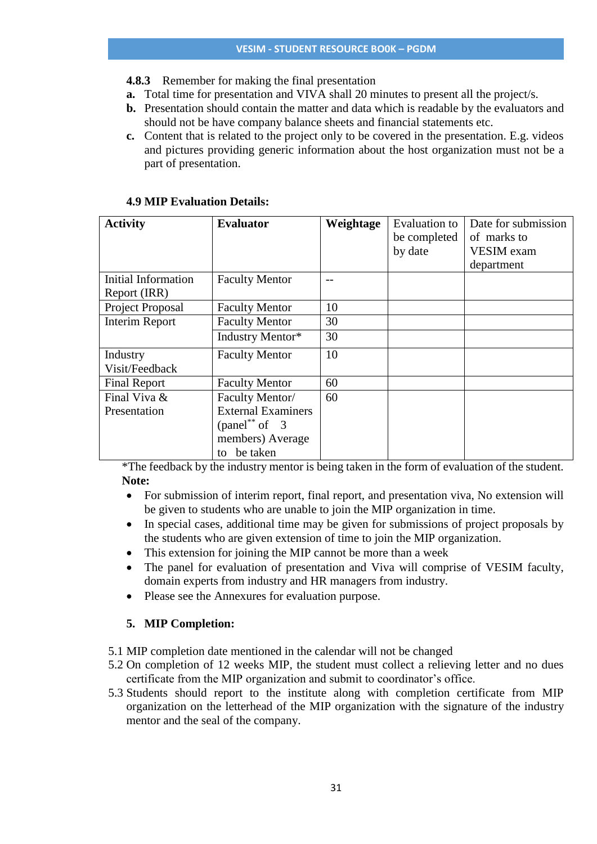- **4.8.3** Remember for making the final presentation
- **a.** Total time for presentation and VIVA shall 20 minutes to present all the project/s.
- **b.** Presentation should contain the matter and data which is readable by the evaluators and should not be have company balance sheets and financial statements etc.
- **c.** Content that is related to the project only to be covered in the presentation. E.g. videos and pictures providing generic information about the host organization must not be a part of presentation.

| <b>Activity</b>       | <b>Evaluator</b>          | Weightage | <b>Evaluation</b> to | Date for submission |
|-----------------------|---------------------------|-----------|----------------------|---------------------|
|                       |                           |           | be completed         | of marks to         |
|                       |                           |           | by date              | VESIM exam          |
|                       |                           |           |                      | department          |
| Initial Information   | <b>Faculty Mentor</b>     |           |                      |                     |
| Report (IRR)          |                           |           |                      |                     |
| Project Proposal      | <b>Faculty Mentor</b>     | 10        |                      |                     |
| <b>Interim Report</b> | <b>Faculty Mentor</b>     | 30        |                      |                     |
|                       | Industry Mentor*          | 30        |                      |                     |
| Industry              | <b>Faculty Mentor</b>     | 10        |                      |                     |
| Visit/Feedback        |                           |           |                      |                     |
| <b>Final Report</b>   | <b>Faculty Mentor</b>     | 60        |                      |                     |
| Final Viva &          | Faculty Mentor/           | 60        |                      |                     |
| Presentation          | <b>External Examiners</b> |           |                      |                     |
|                       | $(panel^{**} of 3)$       |           |                      |                     |
|                       | members) Average          |           |                      |                     |
|                       | be taken<br>to            |           |                      |                     |

## **4.9 MIP Evaluation Details:**

\*The feedback by the industry mentor is being taken in the form of evaluation of the student. **Note:**

- For submission of interim report, final report, and presentation viva, No extension will be given to students who are unable to join the MIP organization in time.
- In special cases, additional time may be given for submissions of project proposals by the students who are given extension of time to join the MIP organization.
- This extension for joining the MIP cannot be more than a week
- The panel for evaluation of presentation and Viva will comprise of VESIM faculty, domain experts from industry and HR managers from industry.
- Please see the Annexures for evaluation purpose.

# **5. MIP Completion:**

- 5.1 MIP completion date mentioned in the calendar will not be changed
- 5.2 On completion of 12 weeks MIP, the student must collect a relieving letter and no dues certificate from the MIP organization and submit to coordinator's office.
- 5.3 Students should report to the institute along with completion certificate from MIP organization on the letterhead of the MIP organization with the signature of the industry mentor and the seal of the company.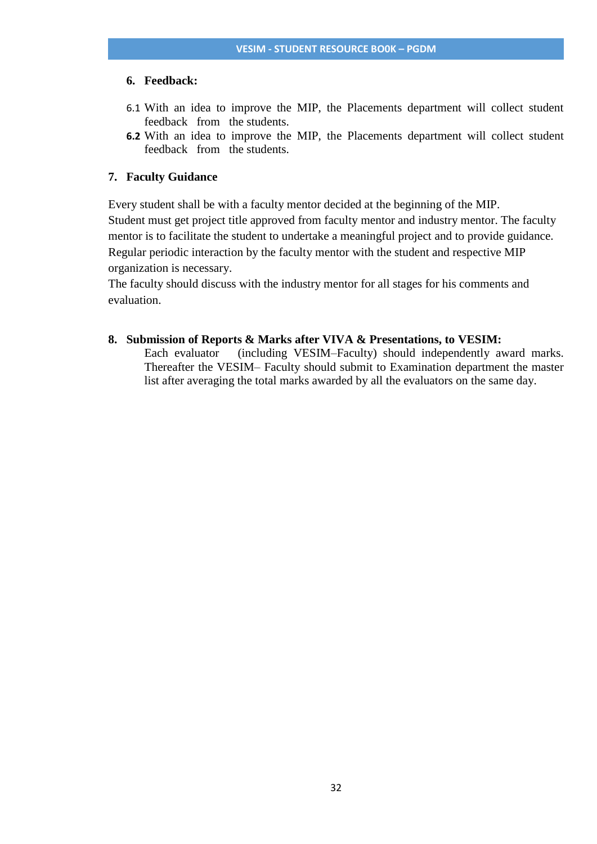#### **6. Feedback:**

- 6.1 With an idea to improve the MIP, the Placements department will collect student feedback from the students.
- **6.2** With an idea to improve the MIP, the Placements department will collect student feedback from the students.

### **7. Faculty Guidance**

Every student shall be with a faculty mentor decided at the beginning of the MIP. Student must get project title approved from faculty mentor and industry mentor. The faculty mentor is to facilitate the student to undertake a meaningful project and to provide guidance. Regular periodic interaction by the faculty mentor with the student and respective MIP organization is necessary.

The faculty should discuss with the industry mentor for all stages for his comments and evaluation.

### **8. Submission of Reports & Marks after VIVA & Presentations, to VESIM:**

Each evaluator (including VESIM–Faculty) should independently award marks. Thereafter the VESIM– Faculty should submit to Examination department the master list after averaging the total marks awarded by all the evaluators on the same day.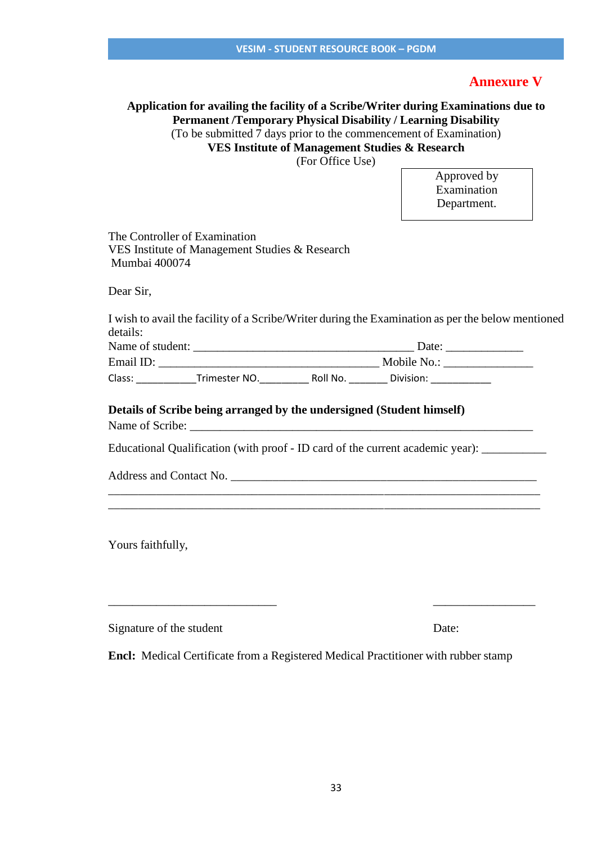# **Annexure V**

# **Application for availing the facility of a Scribe/Writer during Examinations due to Permanent /Temporary Physical Disability / Learning Disability** (To be submitted 7 days prior to the commencement of Examination)

**VES Institute of Management Studies & Research**

(For Office Use)

Approved by Examination Department.

The Controller of Examination VES Institute of Management Studies & Research Mumbai 400074

Dear Sir,

I wish to avail the facility of a Scribe/Writer during the Examination as per the below mentioned details:

| Name of student: |               |          | Date:       |  |
|------------------|---------------|----------|-------------|--|
| Email ID:        |               |          | Mobile No.: |  |
| Class:           | Trimester NO. | Roll No. | Division:   |  |

\_\_\_\_\_\_\_\_\_\_\_\_\_\_\_\_\_\_\_\_\_\_\_\_\_\_\_\_\_\_\_\_\_\_\_\_\_\_\_\_\_\_\_\_\_\_\_\_\_\_\_\_\_\_\_\_\_\_\_\_\_\_\_\_\_\_\_\_\_\_\_\_ \_\_\_\_\_\_\_\_\_\_\_\_\_\_\_\_\_\_\_\_\_\_\_\_\_\_\_\_\_\_\_\_\_\_\_\_\_\_\_\_\_\_\_\_\_\_\_\_\_\_\_\_\_\_\_\_\_\_\_\_\_\_\_\_\_\_\_\_\_\_\_\_

## **Details of Scribe being arranged by the undersigned (Student himself)**

Name of Scribe:

Educational Qualification (with proof - ID card of the current academic year):

Address and Contact No. \_\_\_\_\_\_\_\_\_\_\_\_\_\_\_\_\_\_\_\_\_\_\_\_\_\_\_\_\_\_\_\_\_\_\_\_\_\_\_\_\_\_\_\_\_\_\_\_\_\_\_

Yours faithfully,

Signature of the student Date:

**Encl:** Medical Certificate from a Registered Medical Practitioner with rubber stamp

\_\_\_\_\_\_\_\_\_\_\_\_\_\_\_\_\_\_\_\_\_\_\_\_\_\_\_\_ \_\_\_\_\_\_\_\_\_\_\_\_\_\_\_\_\_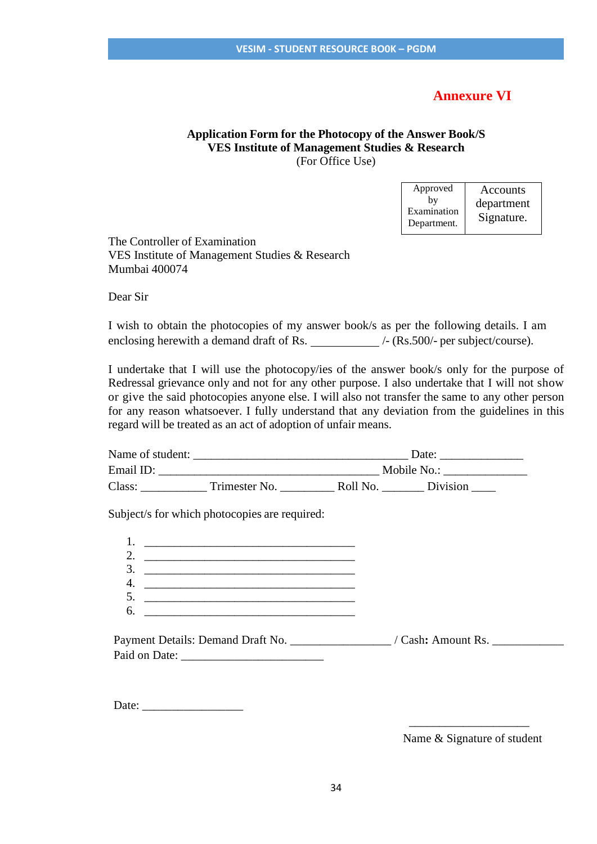# **Annexure VI**

## **Application Form for the Photocopy of the Answer Book/S VES Institute of Management Studies & Research** (For Office Use)

| Approved<br>bv<br>Examination<br>Department. | Accounts<br>department<br>Signature. |
|----------------------------------------------|--------------------------------------|
|----------------------------------------------|--------------------------------------|

The Controller of Examination VES Institute of Management Studies & Research Mumbai 400074

Dear Sir

I wish to obtain the photocopies of my answer book/s as per the following details. I am enclosing herewith a demand draft of Rs.  $\angle$  /- (Rs.500/- per subject/course).

I undertake that I will use the photocopy/ies of the answer book/s only for the purpose of Redressal grievance only and not for any other purpose. I also undertake that I will not show or give the said photocopies anyone else. I will also not transfer the same to any other person for any reason whatsoever. I fully understand that any deviation from the guidelines in this regard will be treated as an act of adoption of unfair means.

| Name of student:<br>Date: |               |          |             |  |
|---------------------------|---------------|----------|-------------|--|
| Email ID:                 |               |          | Mobile No.: |  |
| Class:                    | Trimester No. | Roll No. | Division    |  |

Subject/s for which photocopies are required:

Payment Details: Demand Draft No. \_\_\_\_\_\_\_\_\_\_\_\_\_\_\_\_\_\_\_/ Cash: Amount Rs. \_\_\_\_\_\_\_\_\_\_ Paid on Date:

Date: \_\_\_\_\_\_\_\_\_\_\_\_\_\_\_\_\_

Name & Signature of student

 $\overline{\phantom{a}}$  , and the contract of the contract of the contract of the contract of the contract of the contract of the contract of the contract of the contract of the contract of the contract of the contract of the contrac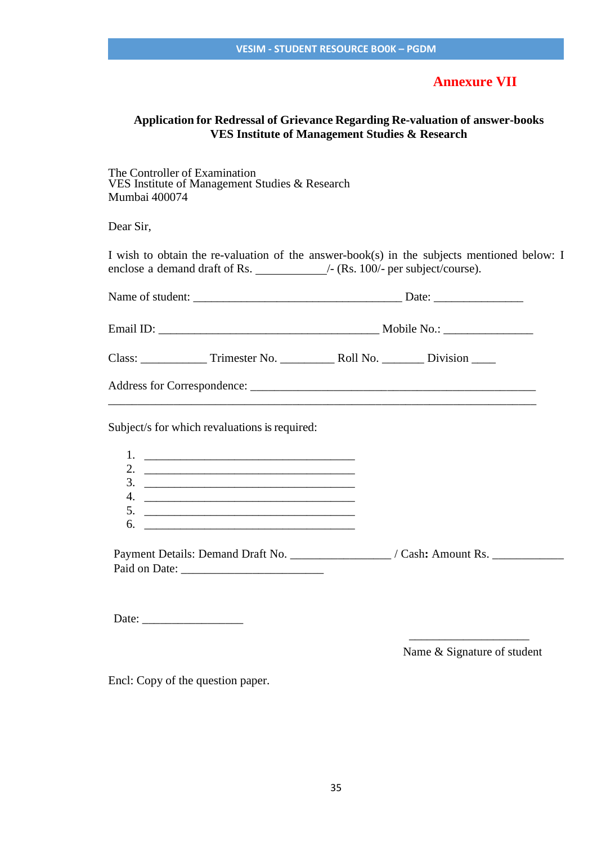# **Annexure VII**

# **Application for Redressal of Grievance Regarding Re-valuation of answer-books VES Institute of Management Studies & Research**

The Controller of Examination VES Institute of Management Studies & Research Mumbai 400074

Dear Sir,

| Subject/s for which revaluations is required:<br>2. $\frac{1}{2}$ $\frac{1}{2}$ $\frac{1}{2}$ $\frac{1}{2}$ $\frac{1}{2}$ $\frac{1}{2}$ $\frac{1}{2}$ $\frac{1}{2}$ $\frac{1}{2}$ $\frac{1}{2}$ $\frac{1}{2}$ $\frac{1}{2}$ $\frac{1}{2}$ $\frac{1}{2}$ $\frac{1}{2}$ $\frac{1}{2}$ $\frac{1}{2}$ $\frac{1}{2}$ $\frac{1}{2}$ $\frac{1}{2}$ $\frac{1}{2}$ $\frac{1}{2}$<br>$\frac{3}{2}$ |  |
|------------------------------------------------------------------------------------------------------------------------------------------------------------------------------------------------------------------------------------------------------------------------------------------------------------------------------------------------------------------------------------------|--|

Date:  $\frac{1}{\sqrt{1-\frac{1}{2}}\sqrt{1-\frac{1}{2}}\sqrt{1-\frac{1}{2}}\sqrt{1-\frac{1}{2}}\sqrt{1-\frac{1}{2}}$ 

Name & Signature of student

Encl: Copy of the question paper.

 $\overline{\phantom{a}}$  , and the contract of the contract of the contract of the contract of the contract of the contract of the contract of the contract of the contract of the contract of the contract of the contract of the contrac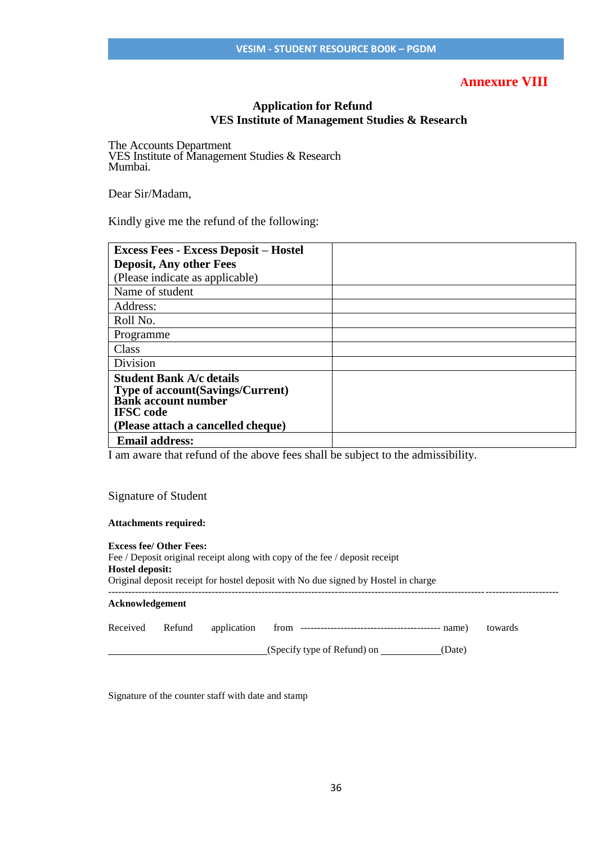# **Annexure VIII**

## **Application for Refund VES Institute of Management Studies & Research**

The Accounts Department VES Institute of Management Studies & Research Mumbai.

Dear Sir/Madam,

Kindly give me the refund of the following:

| <b>Excess Fees - Excess Deposit - Hostel</b>                                                                                                                        |
|---------------------------------------------------------------------------------------------------------------------------------------------------------------------|
|                                                                                                                                                                     |
| <b>Deposit, Any other Fees</b>                                                                                                                                      |
| (Please indicate as applicable)                                                                                                                                     |
| Name of student                                                                                                                                                     |
| Address:                                                                                                                                                            |
| Roll No.                                                                                                                                                            |
| Programme                                                                                                                                                           |
| Class                                                                                                                                                               |
| Division                                                                                                                                                            |
| <b>Student Bank A/c details</b><br><b>Type of account (Savings/Current)</b><br><b>Bank account number</b><br><b>IFSC</b> code<br>(Please attach a cancelled cheque) |
| <b>Email address:</b>                                                                                                                                               |

I am aware that refund of the above fees shall be subject to the admissibility.

#### Signature of Student

#### **Attachments required:**

| Hostel deposit: | <b>Excess fee/ Other Fees:</b> |             | Fee / Deposit original receipt along with copy of the fee / deposit receipt<br>Original deposit receipt for hostel deposit with No due signed by Hostel in charge |         |
|-----------------|--------------------------------|-------------|-------------------------------------------------------------------------------------------------------------------------------------------------------------------|---------|
| Acknowledgement |                                |             |                                                                                                                                                                   |         |
| Received        | Refund                         | application |                                                                                                                                                                   | towards |
|                 |                                |             | (Specify type of Refund) on ______<br>(Date)                                                                                                                      |         |

Signature of the counter staff with date and stamp